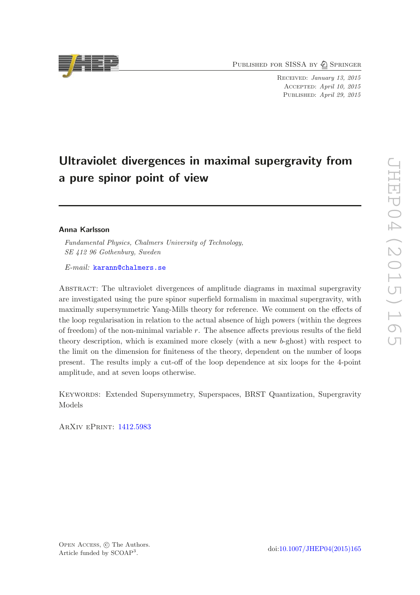PUBLISHED FOR SISSA BY 2 SPRINGER

Received: January 13, 2015 Accepted: April 10, 2015 PUBLISHED: April 29, 2015

# Ultraviolet divergences in maximal supergravity from a pure spinor point of view

## Anna Karlsson

*Fundamental Physics, Chalmers University of Technology, SE 412 96 Gothenburg, Sweden*

*E-mail:* [karann@chalmers.se](mailto:karann@chalmers.se)

Abstract: The ultraviolet divergences of amplitude diagrams in maximal supergravity are investigated using the pure spinor superfield formalism in maximal supergravity, with maximally supersymmetric Yang-Mills theory for reference. We comment on the effects of the loop regularisation in relation to the actual absence of high powers (within the degrees of freedom) of the non-minimal variable r. The absence affects previous results of the field theory description, which is examined more closely (with a new b-ghost) with respect to the limit on the dimension for finiteness of the theory, dependent on the number of loops present. The results imply a cut-off of the loop dependence at six loops for the 4-point amplitude, and at seven loops otherwise.

Keywords: Extended Supersymmetry, Superspaces, BRST Quantization, Supergravity Models

ArXiv ePrint: [1412.5983](http://arxiv.org/abs/1412.5983)

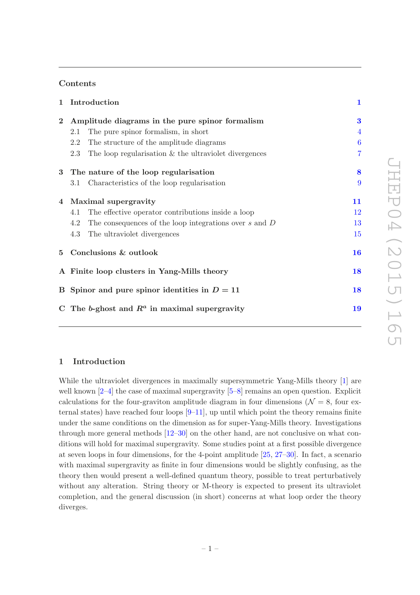## Contents

| $\mathbf{1}$   | Introduction                                                      | 1              |
|----------------|-------------------------------------------------------------------|----------------|
| $\overline{2}$ | Amplitude diagrams in the pure spinor formalism                   | $\bf{3}$       |
|                | The pure spinor formalism, in short<br>2.1                        | 4              |
|                | 2.2<br>The structure of the amplitude diagrams                    | 6              |
|                | The loop regularisation $&$ the ultraviolet divergences<br>2.3    | $\overline{7}$ |
| $\bf{3}$       | The nature of the loop regularisation                             | 8              |
|                | Characteristics of the loop regularisation<br>3.1                 | 9              |
|                | 4 Maximal supergravity                                            | 11             |
|                | The effective operator contributions inside a loop<br>4.1         | 12             |
|                | The consequences of the loop integrations over $s$ and $D$<br>4.2 | 13             |
|                | 4.3<br>The ultraviolet divergences                                | 15             |
|                | 5 Conclusions & outlook                                           | <b>16</b>      |
|                | A Finite loop clusters in Yang-Mills theory                       | 18             |
|                | B Spinor and pure spinor identities in $D = 11$                   | 18             |
|                | C The b-ghost and $R^a$ in maximal supergravity                   | 19             |
|                |                                                                   |                |

## <span id="page-1-0"></span>1 Introduction

While the ultraviolet divergences in maximally supersymmetric Yang-Mills theory [\[1](#page-20-0)] are well known  $[2-4]$  the case of maximal supergravity  $[5-8]$  remains an open question. Explicit calculations for the four-graviton amplitude diagram in four dimensions ( $\mathcal{N} = 8$ , four external states) have reached four loops  $[9-11]$ , up until which point the theory remains finite under the same conditions on the dimension as for super-Yang-Mills theory. Investigations through more general methods [\[12](#page-21-3)[–30\]](#page-22-0) on the other hand, are not conclusive on what conditions will hold for maximal supergravity. Some studies point at a first possible divergence at seven loops in four dimensions, for the 4-point amplitude [\[25](#page-21-4), [27](#page-22-1)[–30\]](#page-22-0). In fact, a scenario with maximal supergravity as finite in four dimensions would be slightly confusing, as the theory then would present a well-defined quantum theory, possible to treat perturbatively without any alteration. String theory or M-theory is expected to present its ultraviolet completion, and the general discussion (in short) concerns at what loop order the theory diverges.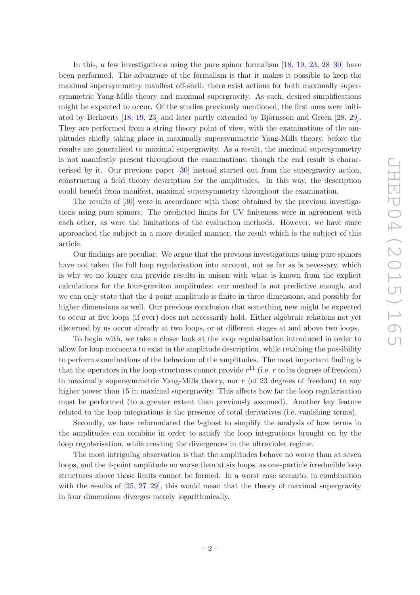In this, a few investigations using the pure spinor formalism [\[18,](#page-21-5) [19,](#page-21-6) [23,](#page-21-7) [28](#page-22-2)[–30](#page-22-0)] have been performed. The advantage of the formalism is that it makes it possible to keep the maximal supersymmetry manifest off-shell: there exist actions for both maximally supersymmetric Yang-Mills theory and maximal supergravity. As such, desired simplifications might be expected to occur. Of the studies previously mentioned, the first ones were initiated by Berkovits  $[18, 19, 23]$  $[18, 19, 23]$  $[18, 19, 23]$  $[18, 19, 23]$  $[18, 19, 23]$  and later partly extended by Björnsson and Green  $[28, 29]$  $[28, 29]$ . They are performed from a string theory point of view, with the examinations of the amplitudes chiefly taking place in maximally supersymmetric Yang-Mills theory, before the results are generalised to maximal supergravity. As a result, the maximal supersymmetry is not manifestly present throughout the examinations, though the end result is characterised by it. Our previous paper [\[30\]](#page-22-0) instead started out from the supergravity action, constructing a field theory description for the amplitudes. In this way, the description could benefit from manifest, maximal supersymmetry throughout the examination.

The results of [\[30\]](#page-22-0) were in accordance with those obtained by the previous investigations using pure spinors. The predicted limits for UV finiteness were in agreement with each other, as were the limitations of the evaluation methods. However, we have since approached the subject in a more detailed manner, the result which is the subject of this article.

Our findings are peculiar. We argue that the previous investigations using pure spinors have not taken the full loop regularisation into account, not as far as is necessary, which is why we no longer can provide results in unison with what is known from the explicit calculations for the four-graviton amplitudes: our method is not predictive enough, and we can only state that the 4-point amplitude is finite in three dimensions, and possibly for higher dimensions as well. Our previous conclusion that something new might be expected to occur at five loops (if ever) does not necessarily hold. Either algebraic relations not yet discerned by us occur already at two loops, or at different stages at and above two loops.

To begin with, we take a closer look at the loop regularisation introduced in order to allow for loop momenta to exist in the amplitude description, while retaining the possibility to perform examinations of the behaviour of the amplitudes. The most important finding is that the operators in the loop structures cannot provide  $r^{11}$  (i.e. r to its degrees of freedom) in maximally supersymmetric Yang-Mills theory, nor  $r$  (of 23 degrees of freedom) to any higher power than 15 in maximal supergravity. This affects how far the loop regularisation must be performed (to a greater extent than previously assumed). Another key feature related to the loop integrations is the presence of total derivatives (i.e. vanishing terms).

Secondly, we have reformulated the b-ghost to simplify the analysis of how terms in the amplitudes can combine in order to satisfy the loop integrations brought on by the loop regularisation, while creating the divergences in the ultraviolet regime.

The most intriguing observation is that the amplitudes behave no worse than at seven loops, and the 4-point amplitude no worse than at six loops, as one-particle irreducible loop structures above those limits cannot be formed. In a worst case scenario, in combination with the results of  $[25, 27-29]$  $[25, 27-29]$  $[25, 27-29]$ , this would mean that the theory of maximal supergravity in four dimensions diverges merely logarithmically.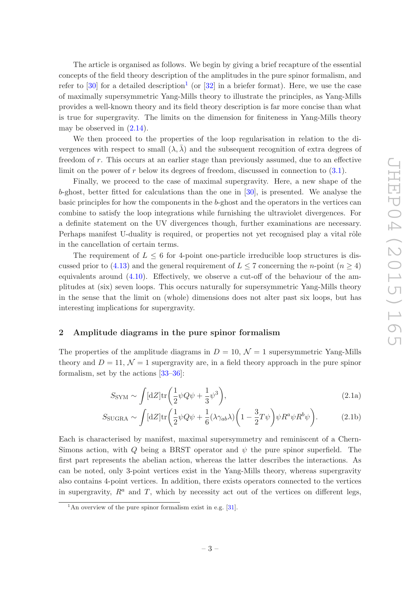The article is organised as follows. We begin by giving a brief recapture of the essential concepts of the field theory description of the amplitudes in the pure spinor formalism, and refer to [\[30\]](#page-22-0) for a detailed description<sup>[1](#page-3-1)</sup> (or [\[32](#page-22-4)] in a briefer format). Here, we use the case of maximally supersymmetric Yang-Mills theory to illustrate the principles, as Yang-Mills provides a well-known theory and its field theory description is far more concise than what is true for supergravity. The limits on the dimension for finiteness in Yang-Mills theory may be observed in [\(2.14\)](#page-8-1).

We then proceed to the properties of the loop regularisation in relation to the divergences with respect to small  $(\lambda, \overline{\lambda})$  and the subsequent recognition of extra degrees of freedom of r. This occurs at an earlier stage than previously assumed, due to an effective limit on the power of  $r$  below its degrees of freedom, discussed in connection to  $(3.1)$ .

Finally, we proceed to the case of maximal supergravity. Here, a new shape of the b-ghost, better fitted for calculations than the one in [\[30\]](#page-22-0), is presented. We analyse the basic principles for how the components in the b-ghost and the operators in the vertices can combine to satisfy the loop integrations while furnishing the ultraviolet divergences. For a definite statement on the UV divergences though, further examinations are necessary. Perhaps manifest U-duality is required, or properties not yet recognised play a vital rôle in the cancellation of certain terms.

The requirement of  $L \leq 6$  for 4-point one-particle irreducible loop structures is dis-cussed prior to [\(4.13\)](#page-15-1) and the general requirement of  $L \leq 7$  concerning the *n*-point ( $n \geq 4$ ) equivalents around [\(4.10\)](#page-14-0). Effectively, we observe a cut-off of the behaviour of the amplitudes at (six) seven loops. This occurs naturally for supersymmetric Yang-Mills theory in the sense that the limit on (whole) dimensions does not alter past six loops, but has interesting implications for supergravity.

## <span id="page-3-0"></span>2 Amplitude diagrams in the pure spinor formalism

The properties of the amplitude diagrams in  $D = 10$ ,  $\mathcal{N} = 1$  supersymmetric Yang-Mills theory and  $D = 11$ ,  $\mathcal{N} = 1$  supergravity are, in a field theory approach in the pure spinor formalism, set by the actions [\[33](#page-22-5)[–36](#page-22-6)]:

<span id="page-3-2"></span>
$$
S_{\rm SYM} \sim \int [\mathrm{d}Z] \mathrm{tr} \left( \frac{1}{2} \psi Q \psi + \frac{1}{3} \psi^3 \right), \tag{2.1a}
$$

$$
S_{\text{SUGRA}} \sim \int [\mathrm{d}Z] \text{tr} \left( \frac{1}{2} \psi Q \psi + \frac{1}{6} (\lambda \gamma_{ab} \lambda) \left( 1 - \frac{3}{2} T \psi \right) \psi R^a \psi R^b \psi \right). \tag{2.1b}
$$

Each is characterised by manifest, maximal supersymmetry and reminiscent of a Chern-Simons action, with Q being a BRST operator and  $\psi$  the pure spinor superfield. The first part represents the abelian action, whereas the latter describes the interactions. As can be noted, only 3-point vertices exist in the Yang-Mills theory, whereas supergravity also contains 4-point vertices. In addition, there exists operators connected to the vertices in supergravity,  $R^a$  and T, which by necessity act out of the vertices on different legs,

<span id="page-3-1"></span><sup>&</sup>lt;sup>1</sup>An overview of the pure spinor formalism exist in e.g. [\[31](#page-22-7)].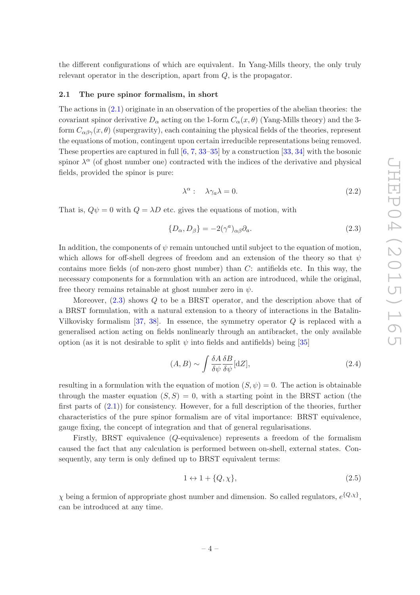the different configurations of which are equivalent. In Yang-Mills theory, the only truly relevant operator in the description, apart from Q, is the propagator.

#### <span id="page-4-0"></span>2.1 The pure spinor formalism, in short

The actions in [\(2.1\)](#page-3-2) originate in an observation of the properties of the abelian theories: the covariant spinor derivative  $D_{\alpha}$  acting on the 1-form  $C_{\alpha}(x, \theta)$  (Yang-Mills theory) and the 3form  $C_{\alpha\beta\gamma}(x,\theta)$  (supergravity), each containing the physical fields of the theories, represent the equations of motion, contingent upon certain irreducible representations being removed. These properties are captured in full [\[6,](#page-20-4) [7,](#page-21-8) [33](#page-22-5)[–35\]](#page-22-8) by a construction [\[33](#page-22-5), [34\]](#page-22-9) with the bosonic spinor  $\lambda^{\alpha}$  (of ghost number one) contracted with the indices of the derivative and physical fields, provided the spinor is pure:

$$
\lambda^{\alpha}: \quad \lambda \gamma_a \lambda = 0. \tag{2.2}
$$

That is,  $Q\psi = 0$  with  $Q = \lambda D$  etc. gives the equations of motion, with

<span id="page-4-1"></span>
$$
\{D_{\alpha}, D_{\beta}\} = -2(\gamma^a)_{\alpha\beta}\partial_a.
$$
\n(2.3)

In addition, the components of  $\psi$  remain untouched until subject to the equation of motion, which allows for off-shell degrees of freedom and an extension of the theory so that  $\psi$ contains more fields (of non-zero ghost number) than  $C$ : antifields etc. In this way, the necessary components for a formulation with an action are introduced, while the original, free theory remains retainable at ghost number zero in  $\psi$ .

Moreover,  $(2.3)$  shows Q to be a BRST operator, and the description above that of a BRST formulation, with a natural extension to a theory of interactions in the Batalin-Vilkovisky formalism  $[37, 38]$  $[37, 38]$  $[37, 38]$ . In essence, the symmetry operator Q is replaced with a generalised action acting on fields nonlinearly through an antibracket, the only available option (as it is not desirable to split  $\psi$  into fields and antifields) being [\[35\]](#page-22-8)

$$
(A, B) \sim \int \frac{\delta A}{\delta \psi} \frac{\delta B}{\delta \psi} [\mathrm{d}Z],\tag{2.4}
$$

resulting in a formulation with the equation of motion  $(S, \psi) = 0$ . The action is obtainable through the master equation  $(S, S) = 0$ , with a starting point in the BRST action (the first parts of  $(2.1)$  for consistency. However, for a full description of the theories, further characteristics of the pure spinor formalism are of vital importance: BRST equivalence, gauge fixing, the concept of integration and that of general regularisations.

Firstly, BRST equivalence (Q-equivalence) represents a freedom of the formalism caused the fact that any calculation is performed between on-shell, external states. Consequently, any term is only defined up to BRST equivalent terms:

$$
1 \leftrightarrow 1 + \{Q, \chi\},\tag{2.5}
$$

 $\chi$  being a fermion of appropriate ghost number and dimension. So called regulators,  $e^{\{Q,\chi\}}$ , can be introduced at any time.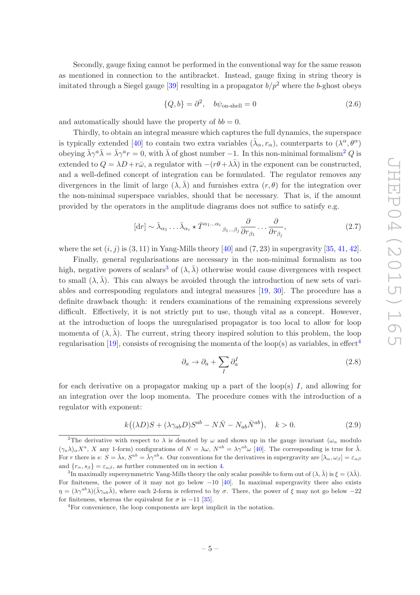Secondly, gauge fixing cannot be performed in the conventional way for the same reason as mentioned in connection to the antibracket. Instead, gauge fixing in string theory is imitated through a Siegel gauge [\[39\]](#page-22-12) resulting in a propagator  $b/p^2$  where the b-ghost obeys

<span id="page-5-5"></span>
$$
\{Q, b\} = \partial^2, \quad b\psi_{\text{on-shell}} = 0 \tag{2.6}
$$

and automatically should have the property of  $bb = 0$ .

Thirdly, to obtain an integral measure which captures the full dynamics, the superspace is typically extended [\[40\]](#page-22-13) to contain two extra variables  $(\bar{\lambda}_{\alpha}, r_{\alpha})$ , counterparts to  $(\lambda^{\alpha}, \theta^{\alpha})$ obeying  $\bar{\lambda}\gamma^a\bar{\lambda} = \bar{\lambda}\gamma^a r = 0$ , with  $\bar{\lambda}$  of ghost number -1. In this non-minimal formalism<sup>[2](#page-5-0)</sup> Q is extended to  $Q = \lambda D + r\bar{\omega}$ , a regulator with  $-(r\theta + \lambda \bar{\lambda})$  in the exponent can be constructed, and a well-defined concept of integration can be formulated. The regulator removes any divergences in the limit of large  $(\lambda, \lambda)$  and furnishes extra  $(r, \theta)$  for the integration over the non-minimal superspace variables, should that be necessary. That is, if the amount provided by the operators in the amplitude diagrams does not suffice to satisfy e.g.

<span id="page-5-4"></span>
$$
[\mathrm{d}r] \sim \bar{\lambda}_{\alpha_1} \dots \bar{\lambda}_{\alpha_i} \star \bar{T}^{\alpha_1 \dots \alpha_i}{}_{\beta_1 \dots \beta_j} \frac{\partial}{\partial r_{\beta_1}} \dots \frac{\partial}{\partial r_{\beta_j}},\tag{2.7}
$$

where the set  $(i, j)$  is  $(3, 11)$  in Yang-Mills theory [\[40](#page-22-13)] and  $(7, 23)$  in supergravity [\[35,](#page-22-8) [41](#page-22-14), [42\]](#page-22-15).

Finally, general regularisations are necessary in the non-minimal formalism as too high, negative powers of scalars<sup>[3](#page-5-1)</sup> of  $(\lambda, \overline{\lambda})$  otherwise would cause divergences with respect to small  $(\lambda, \lambda)$ . This can always be avoided through the introduction of new sets of variables and corresponding regulators and integral measures [\[19](#page-21-6), [30](#page-22-0)]. The procedure has a definite drawback though: it renders examinations of the remaining expressions severely difficult. Effectively, it is not strictly put to use, though vital as a concept. However, at the introduction of loops the unregularised propagator is too local to allow for loop momenta of  $(\lambda, \lambda)$ . The current, string theory inspired solution to this problem, the loop regularisation [\[19\]](#page-21-6), consists of recognising the momenta of the loop(s) as variables, in effect<sup>[4](#page-5-2)</sup>

$$
\partial_a \to \partial_a + \sum_I \partial_a^I \tag{2.8}
$$

for each derivative on a propagator making up a part of the loop(s)  $I$ , and allowing for an integration over the loop momenta. The procedure comes with the introduction of a regulator with exponent:

<span id="page-5-3"></span>
$$
k((\lambda D)S + (\lambda \gamma_{ab}D)S^{ab} - N\bar{N} - N_{ab}\bar{N}^{ab}), \quad k > 0.
$$
 (2.9)

<span id="page-5-0"></span><sup>&</sup>lt;sup>2</sup>The derivative with respect to  $\lambda$  is denoted by  $\omega$  and shows up in the gauge invariant ( $\omega_{\alpha}$  modulo  $(\gamma_a \lambda)_\alpha X^a$ , X any 1-form) configurations of  $N = \lambda \omega$ ,  $N^{ab} = \lambda \gamma^{ab} \omega$  [\[40](#page-22-13)]. The corresponding is true for  $\bar{\lambda}$ . For r there is  $s: S = \bar{\lambda}s$ ,  $S^{ab} = \bar{\lambda}\gamma^{ab}s$ . Our conventions for the derivatives in supergravity are  $[\lambda_{\alpha}, \omega_{\beta}] = \varepsilon_{\alpha\beta}$ and  ${r_{\alpha, s_{\beta}} \equiv \varepsilon_{\alpha\beta}$ , as further commented on in section [4.](#page-11-0)

<span id="page-5-1"></span><sup>&</sup>lt;sup>3</sup>In maximally supersymmetric Yang-Mills theory the only scalar possible to form out of  $(\lambda, \bar{\lambda})$  is  $\xi = (\lambda \bar{\lambda})$ . For finiteness, the power of it may not go below  $-10$  [\[40\]](#page-22-13). In maximal supergravity there also exists  $\eta = (\lambda \gamma^{ab} \lambda)(\bar{\lambda} \gamma_{ab} \bar{\lambda}),$  where each 2-form is referred to by  $\sigma$ . There, the power of  $\xi$  may not go below  $-22$ for finiteness, whereas the equivalent for  $\sigma$  is -11 [\[35\]](#page-22-8).

<span id="page-5-2"></span><sup>4</sup>For convenience, the loop components are kept implicit in the notation.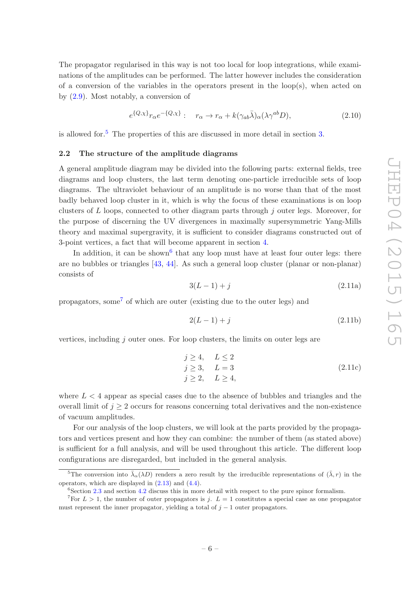The propagator regularised in this way is not too local for loop integrations, while examinations of the amplitudes can be performed. The latter however includes the consideration of a conversion of the variables in the operators present in the loop(s), when acted on by [\(2.9\)](#page-5-3). Most notably, a conversion of

<span id="page-6-4"></span>
$$
e^{\{Q,\chi\}}r_{\alpha}e^{-\{Q,\chi\}}:\quad r_{\alpha} \to r_{\alpha} + k(\gamma_{ab}\bar{\lambda})_{\alpha}(\lambda\gamma^{ab}D),\tag{2.10}
$$

<span id="page-6-0"></span>is allowed for.[5](#page-6-1) The properties of this are discussed in more detail in section [3.](#page-8-0)

#### 2.2 The structure of the amplitude diagrams

A general amplitude diagram may be divided into the following parts: external fields, tree diagrams and loop clusters, the last term denoting one-particle irreducible sets of loop diagrams. The ultraviolet behaviour of an amplitude is no worse than that of the most badly behaved loop cluster in it, which is why the focus of these examinations is on loop clusters of  $L$  loops, connected to other diagram parts through  $j$  outer legs. Moreover, for the purpose of discerning the UV divergences in maximally supersymmetric Yang-Mills theory and maximal supergravity, it is sufficient to consider diagrams constructed out of 3-point vertices, a fact that will become apparent in section [4.](#page-11-0)

<span id="page-6-5"></span>In addition, it can be shown<sup>[6](#page-6-2)</sup> that any loop must have at least four outer legs: there are no bubbles or triangles [\[43,](#page-22-16) [44](#page-22-17)]. As such a general loop cluster (planar or non-planar) consists of

$$
3(L-1) + j \tag{2.11a}
$$

propagators, some<sup>[7](#page-6-3)</sup> of which are outer (existing due to the outer legs) and

$$
2(L-1) + j \tag{2.11b}
$$

vertices, including  $i$  outer ones. For loop clusters, the limits on outer legs are

<span id="page-6-6"></span>
$$
j \ge 4, \quad L \le 2
$$
  
\n
$$
j \ge 3, \quad L = 3
$$
  
\n
$$
j \ge 2, \quad L \ge 4,
$$
\n(2.11c)

where  $L < 4$  appear as special cases due to the absence of bubbles and triangles and the overall limit of  $j \geq 2$  occurs for reasons concerning total derivatives and the non-existence of vacuum amplitudes.

For our analysis of the loop clusters, we will look at the parts provided by the propagators and vertices present and how they can combine: the number of them (as stated above) is sufficient for a full analysis, and will be used throughout this article. The different loop configurations are disregarded, but included in the general analysis.

<sup>&</sup>lt;sup>5</sup>The conversion into  $\bar{\lambda}_{\alpha}(\lambda D)$  renders a zero result by the irreducible representations of  $(\bar{\lambda}, r)$  in the operators, which are displayed in [\(2.13\)](#page-7-1) and [\(4.4\)](#page-12-1).

<span id="page-6-2"></span><span id="page-6-1"></span> $6$ Section [2.3](#page-7-0) and section [4.2](#page-13-0) discuss this in more detail with respect to the pure spinor formalism.

<span id="page-6-3"></span><sup>&</sup>lt;sup>7</sup>For  $L > 1$ , the number of outer propagators is j.  $L = 1$  constitutes a special case as one propagator must represent the inner propagator, yielding a total of  $j - 1$  outer propagators.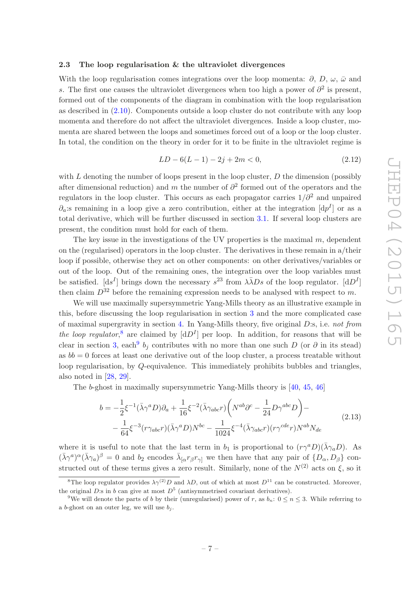#### <span id="page-7-0"></span>2.3 The loop regularisation & the ultraviolet divergences

With the loop regularisation comes integrations over the loop momenta:  $\partial$ , D,  $\omega$ ,  $\bar{\omega}$  and s. The first one causes the ultraviolet divergences when too high a power of  $\partial^2$  is present, formed out of the components of the diagram in combination with the loop regularisation as described in [\(2.10\)](#page-6-4). Components outside a loop cluster do not contribute with any loop momenta and therefore do not affect the ultraviolet divergences. Inside a loop cluster, momenta are shared between the loops and sometimes forced out of a loop or the loop cluster. In total, the condition on the theory in order for it to be finite in the ultraviolet regime is

<span id="page-7-4"></span>
$$
LD - 6(L - 1) - 2j + 2m < 0,\tag{2.12}
$$

with  $L$  denoting the number of loops present in the loop cluster,  $D$  the dimension (possibly after dimensional reduction) and m the number of  $\partial^2$  formed out of the operators and the regulators in the loop cluster. This occurs as each propagator carries  $1/\partial^2$  and unpaired  $\partial_a$ :s remaining in a loop give a zero contribution, either at the integration  $[dp^I]$  or as a total derivative, which will be further discussed in section [3.1.](#page-9-0) If several loop clusters are present, the condition must hold for each of them.

The key issue in the investigations of the UV properties is the maximal  $m$ , dependent on the (regularised) operators in the loop cluster. The derivatives in these remain in a/their loop if possible, otherwise they act on other components: on other derivatives/variables or out of the loop. Out of the remaining ones, the integration over the loop variables must be satisfied.  $[ds^I]$  brings down the necessary  $s^{23}$  from  $\lambda \bar{\lambda} Ds$  of the loop regulator.  $[dD^I]$ then claim  $D^{32}$  before the remaining expression needs to be analysed with respect to m.

We will use maximally supersymmetric Yang-Mills theory as an illustrative example in this, before discussing the loop regularisation in section [3](#page-8-0) and the more complicated case of maximal supergravity in section [4.](#page-11-0) In Yang-Mills theory, five original D:s, i.e. *not from* the loop regulator,<sup>[8](#page-7-2)</sup> are claimed by  $[dD<sup>I</sup>]$  per loop. In addition, for reasons that will be clear in section [3,](#page-8-0) each<sup>[9](#page-7-3)</sup>  $b_j$  contributes with no more than one such D (or  $\partial$  in its stead) as  $bb = 0$  forces at least one derivative out of the loop cluster, a process treatable without loop regularisation, by Q-equivalence. This immediately prohibits bubbles and triangles, also noted in [\[28](#page-22-2), [29\]](#page-22-3).

The b-ghost in maximally supersymmetric Yang-Mills theory is [\[40,](#page-22-13) [45](#page-22-18), [46\]](#page-22-19)

<span id="page-7-1"></span>
$$
b = -\frac{1}{2}\xi^{-1}(\bar{\lambda}\gamma^{a}D)\partial_{a} + \frac{1}{16}\xi^{-2}(\bar{\lambda}\gamma_{abc}r)\left(N^{ab}\partial^{c} - \frac{1}{24}D\gamma^{abc}D\right) -
$$
  

$$
-\frac{1}{64}\xi^{-3}(r\gamma_{abc}r)(\bar{\lambda}\gamma^{a}D)N^{bc} - \frac{1}{1024}\xi^{-4}(\bar{\lambda}\gamma_{abc}r)(r\gamma^{cde}r)N^{ab}N_{de}
$$
(2.13)

where it is useful to note that the last term in  $b_1$  is proportional to  $(r\gamma^a D)(\bar{\lambda}\gamma_a D)$ . As  $({\bar{\lambda}} \gamma^a)^{\alpha} ({\bar{\lambda}} \gamma_a)^{\beta} = 0$  and  $b_2$  encodes  ${\bar{\lambda}}_{\alpha} r_{\beta} r_{\gamma}$  we then have that any pair of  $\{D_{\alpha}, D_{\beta}\}\$ constructed out of these terms gives a zero result. Similarly, none of the  $N^{(2)}$  acts on  $\xi$ , so it

<span id="page-7-2"></span><sup>&</sup>lt;sup>8</sup>The loop regulator provides  $\lambda \gamma^{(2)} D$  and  $\lambda D$ , out of which at most  $D^{11}$  can be constructed. Moreover, the original D:s in b can give at most  $D^5$  (antisymmetrised covariant derivatives).

<span id="page-7-3"></span><sup>&</sup>lt;sup>9</sup>We will denote the parts of b by their (unregularised) power of r, as  $b_n: 0 \le n \le 3$ . While referring to a b-ghost on an outer leg, we will use  $b_i$ .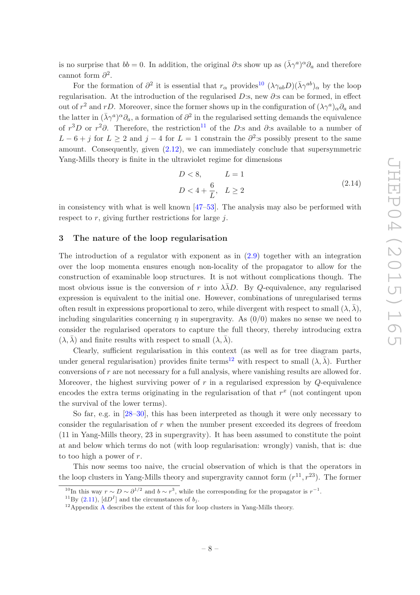is no surprise that  $bb = 0$ . In addition, the original  $\partial$ :s show up as  $(\bar{\lambda}\gamma^a)^{\alpha}\partial_a$  and therefore cannot form  $\partial^2$ .

For the formation of  $\partial^2$  it is essential that  $r_\alpha$  provides<sup>[10](#page-8-2)</sup>  $(\lambda \gamma_{ab} D)(\bar{\lambda} \gamma^{ab})_\alpha$  by the loop regularisation. At the introduction of the regularised D:s, new  $\partial$ :s can be formed, in effect out of  $r^2$  and rD. Moreover, since the former shows up in the configuration of  $(\lambda \gamma^a)_{\alpha} \partial_a$  and the latter in  $(\bar{\lambda}\gamma^a)^{\alpha}\partial_a$ , a formation of  $\partial^2$  in the regularised setting demands the equivalence of  $r^3D$  or  $r^2\partial$ . Therefore, the restriction<sup>[11](#page-8-3)</sup> of the D:s and  $\partial$ :s available to a number of  $L-6+j$  for  $L\geq 2$  and  $j-4$  for  $L=1$  constrain the  $\partial^2$ : spossibly present to the same amount. Consequently, given [\(2.12\)](#page-7-4), we can immediately conclude that supersymmetric Yang-Mills theory is finite in the ultraviolet regime for dimensions

<span id="page-8-1"></span>
$$
D < 8, \qquad L = 1
$$
\n
$$
D < 4 + \frac{6}{L}, \quad L \ge 2 \tag{2.14}
$$

in consistency with what is well known [\[47](#page-23-0)[–53\]](#page-23-1). The analysis may also be performed with respect to  $r$ , giving further restrictions for large  $j$ .

## <span id="page-8-0"></span>3 The nature of the loop regularisation

The introduction of a regulator with exponent as in [\(2.9\)](#page-5-3) together with an integration over the loop momenta ensures enough non-locality of the propagator to allow for the construction of examinable loop structures. It is not without complications though. The most obvious issue is the conversion of r into  $\lambda \lambda D$ . By Q-equivalence, any regularised expression is equivalent to the initial one. However, combinations of unregularised terms often result in expressions proportional to zero, while divergent with respect to small  $(\lambda, \overline{\lambda})$ , including singularities concerning  $\eta$  in supergravity. As  $(0/0)$  makes no sense we need to consider the regularised operators to capture the full theory, thereby introducing extra  $(\lambda, \overline{\lambda})$  and finite results with respect to small  $(\lambda, \overline{\lambda})$ .

Clearly, sufficient regularisation in this context (as well as for tree diagram parts, under general regularisation) provides finite terms<sup>[12](#page-8-4)</sup> with respect to small  $(\lambda, \overline{\lambda})$ . Further conversions of r are not necessary for a full analysis, where vanishing results are allowed for. Moreover, the highest surviving power of  $r$  in a regularised expression by  $Q$ -equivalence encodes the extra terms originating in the regularisation of that  $r^x$  (not contingent upon the survival of the lower terms).

So far, e.g. in [\[28](#page-22-2)[–30](#page-22-0)], this has been interpreted as though it were only necessary to consider the regularisation of  $r$  when the number present exceeded its degrees of freedom (11 in Yang-Mills theory, 23 in supergravity). It has been assumed to constitute the point at and below which terms do not (with loop regularisation: wrongly) vanish, that is: due to too high a power of  $r$ .

This now seems too naive, the crucial observation of which is that the operators in the loop clusters in Yang-Mills theory and supergravity cannot form  $(r^{11}, r^{23})$ . The former

<sup>&</sup>lt;sup>10</sup>In this way  $r \sim D \sim \partial^{1/2}$  and  $b \sim r^3$ , while the corresponding for the propagator is  $r^{-1}$ .

<span id="page-8-2"></span><sup>&</sup>lt;sup>11</sup>By [\(2.11\)](#page-6-5),  $[dD<sup>I</sup>]$  and the circumstances of  $b<sub>j</sub>$ .

<span id="page-8-4"></span><span id="page-8-3"></span> $12$ [A](#page-18-0)ppendix A describes the extent of this for loop clusters in Yang-Mills theory.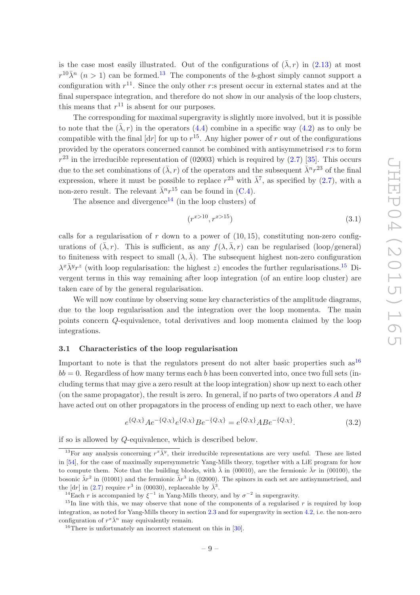is the case most easily illustrated. Out of the configurations of  $(\bar{\lambda}, r)$  in [\(2.13\)](#page-7-1) at most  $r^{10}$  $\bar{\lambda}^n$  ( $n > 1$ ) can be formed.<sup>[13](#page-9-2)</sup> The components of the b-ghost simply cannot support a configuration with  $r^{11}$ . Since the only other r:s present occur in external states and at the final superspace integration, and therefore do not show in our analysis of the loop clusters, this means that  $r^{11}$  is absent for our purposes.

The corresponding for maximal supergravity is slightly more involved, but it is possible to note that the  $(\bar{\lambda}, r)$  in the operators [\(4.4\)](#page-12-1) combine in a specific way [\(4.2\)](#page-11-1) as to only be compatible with the final  $\lfloor dr \rfloor$  for up to  $r^{15}$ . Any higher power of r out of the configurations provided by the operators concerned cannot be combined with antisymmetrised  $r$ :s to form  $r^{23}$  in the irreducible representation of (02003) which is required by [\(2.7\)](#page-5-4) [\[35](#page-22-8)]. This occurs due to the set combinations of  $(\bar{\lambda}, r)$  of the operators and the subsequent  $\bar{\lambda}^n r^{23}$  of the final expression, where it must be possible to replace  $r^{23}$  with  $\bar{\lambda}^7$ , as specified by [\(2.7\)](#page-5-4), with a non-zero result. The relevant  $\bar{\lambda}^n r^{15}$  can be found in [\(C.4\)](#page-20-5).

The absence and divergence<sup>[14](#page-9-3)</sup> (in the loop clusters) of

<span id="page-9-1"></span>
$$
(r^{x>10}, r^{x>15})
$$
\n(3.1)

calls for a regularisation of r down to a power of  $(10, 15)$ , constituting non-zero configurations of  $(\bar{\lambda}, r)$ . This is sufficient, as any  $f(\lambda, \bar{\lambda}, r)$  can be regularised (loop/general) to finiteness with respect to small  $(\lambda, \overline{\lambda})$ . The subsequent highest non-zero configuration  $\lambda^x \bar{\lambda}^y r^z$  (with loop regularisation: the highest z) encodes the further regularisations.<sup>[15](#page-9-4)</sup> Divergent terms in this way remaining after loop integration (of an entire loop cluster) are taken care of by the general regularisation.

We will now continue by observing some key characteristics of the amplitude diagrams, due to the loop regularisation and the integration over the loop momenta. The main points concern Q-equivalence, total derivatives and loop momenta claimed by the loop integrations.

#### <span id="page-9-0"></span>3.1 Characteristics of the loop regularisation

Important to note is that the regulators present do not alter basic properties such  $as^{16}$  $as^{16}$  $as^{16}$  $bb = 0$ . Regardless of how many terms each b has been converted into, once two full sets (including terms that may give a zero result at the loop integration) show up next to each other (on the same propagator), the result is zero. In general, if no parts of two operators  $A$  and  $B$ have acted out on other propagators in the process of ending up next to each other, we have

$$
e^{\{Q,\chi\}}Ae^{-\{Q,\chi\}}e^{\{Q,\chi\}}Be^{-\{Q,\chi\}} = e^{\{Q,\chi\}}ABe^{-\{Q,\chi\}}.\tag{3.2}
$$

if so is allowed by Q-equivalence, which is described below.

<span id="page-9-2"></span><sup>&</sup>lt;sup>13</sup>For any analysis concerning  $r^x \overline{\lambda}^y$ , their irreducible representations are very useful. These are listed in [\[54\]](#page-23-2), for the case of maximally supersymmetric Yang-Mills theory, together with a LiE program for how to compute them. Note that the building blocks, with  $\bar{\lambda}$  in (00010), are the fermionic  $\bar{\lambda}r$  in (00100), the bosonic  $\bar{\lambda}r^2$  in (01001) and the fermionic  $\bar{\lambda}r^3$  in (02000). The spinors in each set are antisymmetrised, and the [dr] in [\(2.7\)](#page-5-4) require  $r^3$  in (00030), replaceable by  $\bar{\lambda}^3$ .

<span id="page-9-3"></span><sup>&</sup>lt;sup>14</sup>Each r is accompanied by  $\xi^{-1}$  in Yang-Mills theory, and by  $\sigma^{-2}$  in supergravity.

<span id="page-9-4"></span><sup>&</sup>lt;sup>15</sup>In line with this, we may observe that none of the components of a regularised r is required by loop integration, as noted for Yang-Mills theory in section [2.3](#page-7-0) and for supergravity in section [4.2,](#page-13-0) i.e. the non-zero configuration of  $r^x \overline{\lambda}^n$  may equivalently remain.

<span id="page-9-5"></span> $16$ There is unfortunately an incorrect statement on this in [\[30](#page-22-0)].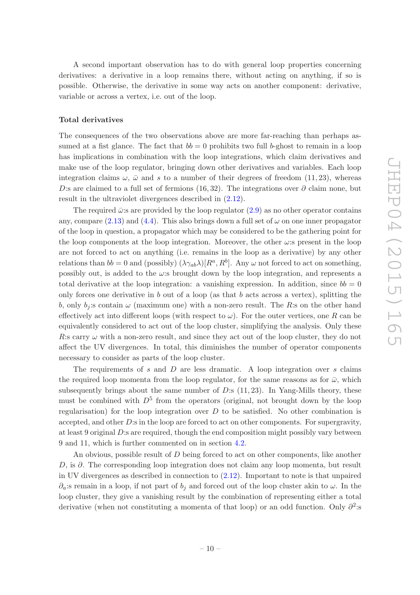A second important observation has to do with general loop properties concerning derivatives: a derivative in a loop remains there, without acting on anything, if so is possible. Otherwise, the derivative in some way acts on another component: derivative, variable or across a vertex, i.e. out of the loop.

## Total derivatives

The consequences of the two observations above are more far-reaching than perhaps assumed at a fist glance. The fact that  $bb = 0$  prohibits two full b-ghost to remain in a loop has implications in combination with the loop integrations, which claim derivatives and make use of the loop regulator, bringing down other derivatives and variables. Each loop integration claims  $\omega$ ,  $\bar{\omega}$  and s to a number of their degrees of freedom (11, 23), whereas D:s are claimed to a full set of fermions (16,32). The integrations over  $\partial$  claim none, but result in the ultraviolet divergences described in [\(2.12\)](#page-7-4).

The required  $\bar{\omega}$ :s are provided by the loop regulator [\(2.9\)](#page-5-3) as no other operator contains any, compare  $(2.13)$  and  $(4.4)$ . This also brings down a full set of  $\omega$  on one inner propagator of the loop in question, a propagator which may be considered to be the gathering point for the loop components at the loop integration. Moreover, the other  $\omega$ :s present in the loop are not forced to act on anything (i.e. remains in the loop as a derivative) by any other relations than  $bb = 0$  and (possibly)  $(\lambda \gamma_{ab} \lambda)[R^a, R^b]$ . Any  $\omega$  not forced to act on something, possibly out, is added to the  $\omega$ :s brought down by the loop integration, and represents a total derivative at the loop integration: a vanishing expression. In addition, since  $bb = 0$ only forces one derivative in b out of a loop (as that b acts across a vertex), splitting the b, only  $b_i$ : s contain  $\omega$  (maximum one) with a non-zero result. The R: s on the other hand effectively act into different loops (with respect to  $\omega$ ). For the outer vertices, one R can be equivalently considered to act out of the loop cluster, simplifying the analysis. Only these R:s carry  $\omega$  with a non-zero result, and since they act out of the loop cluster, they do not affect the UV divergences. In total, this diminishes the number of operator components necessary to consider as parts of the loop cluster.

The requirements of s and  $D$  are less dramatic. A loop integration over s claims the required loop momenta from the loop regulator, for the same reasons as for  $\bar{\omega}$ , which subsequently brings about the same number of  $D$ :s  $(11, 23)$ . In Yang-Mills theory, these must be combined with  $D^5$  from the operators (original, not brought down by the loop regularisation) for the loop integration over  $D$  to be satisfied. No other combination is accepted, and other D:s in the loop are forced to act on other components. For supergravity, at least 9 original  $D$ : s are required, though the end composition might possibly vary between 9 and 11, which is further commented on in section [4.2.](#page-13-0)

An obvious, possible result of D being forced to act on other components, like another D, is ∂. The corresponding loop integration does not claim any loop momenta, but result in UV divergences as described in connection to [\(2.12\)](#page-7-4). Important to note is that unpaired  $\partial_a$ :s remain in a loop, if not part of  $b_i$  and forced out of the loop cluster akin to  $\omega$ . In the loop cluster, they give a vanishing result by the combination of representing either a total derivative (when not constituting a momenta of that loop) or an odd function. Only  $\partial^2$ :s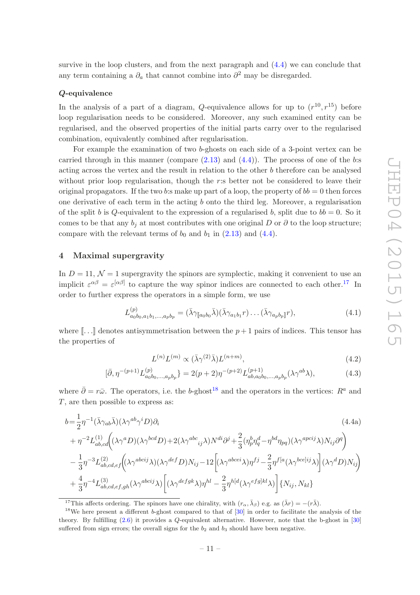survive in the loop clusters, and from the next paragraph and [\(4.4\)](#page-12-1) we can conclude that any term containing a  $\partial_a$  that cannot combine into  $\partial^2$  may be disregarded.

## Q-equivalence

In the analysis of a part of a diagram, Q-equivalence allows for up to  $(r^{10}, r^{15})$  before loop regularisation needs to be considered. Moreover, any such examined entity can be regularised, and the observed properties of the initial parts carry over to the regularised combination, equivalently combined after regularisation.

For example the examination of two b-ghosts on each side of a 3-point vertex can be carried through in this manner (compare  $(2.13)$  and  $(4.4)$ ). The process of one of the b:s acting across the vertex and the result in relation to the other b therefore can be analysed without prior loop regularisation, though the  $r$ :s better not be considered to leave their original propagators. If the two b:s make up part of a loop, the property of  $bb = 0$  then forces one derivative of each term in the acting b onto the third leg. Moreover, a regularisation of the split b is Q-equivalent to the expression of a regularised b, split due to  $bb = 0$ . So it comes to be that any  $b_i$  at most contributes with one original D or  $\partial$  to the loop structure; compare with the relevant terms of  $b_0$  and  $b_1$  in  $(2.13)$  and  $(4.4)$ .

## <span id="page-11-0"></span>4 Maximal supergravity

In  $D = 11$ ,  $\mathcal{N} = 1$  supergravity the spinors are symplectic, making it convenient to use an implicit  $\varepsilon^{\alpha\beta} = \varepsilon^{[\alpha\beta]}$  to capture the way spinor indices are connected to each other.<sup>[17](#page-11-2)</sup> In order to further express the operators in a simple form, we use

$$
L^{(p)}_{a_0b_0, a_1b_1,\dots,a_pb_p} = (\bar{\lambda}\gamma_{\llbracket a_0b_0} \bar{\lambda})(\bar{\lambda}\gamma_{a_1b_1}r)\dots(\bar{\lambda}\gamma_{a_pb_p}\rrbracket r),
$$
\n(4.1)

where  $[\,\cdot\,]\,$  denotes antisymmetrisation between the  $p+1$  pairs of indices. This tensor has the properties of

<span id="page-11-1"></span>
$$
L^{(n)}L^{(m)} \propto (\bar{\lambda}\gamma^{(2)}\bar{\lambda})L^{(n+m)},\tag{4.2}
$$

$$
[\bar{\partial}, \eta^{-(p+1)} L_{a_0 b_0, \dots, a_p b_p}^{(p)} \} = 2(p+2)\eta^{-(p+2)} L_{ab, a_0 b_0, \dots, a_p b_p}^{(p+1)}(\lambda \gamma^{ab} \lambda), \tag{4.3}
$$

where  $\bar{\partial} = r\bar{\omega}$ . The operators, i.e. the b-ghost<sup>[18](#page-11-3)</sup> and the operators in the vertices:  $R^a$  and T, are then possible to express as:

$$
b = \frac{1}{2} \eta^{-1} (\bar{\lambda} \gamma_{ab} \bar{\lambda}) (\lambda \gamma^{ab} \gamma^i D) \partial_i
$$
\n
$$
+ \eta^{-2} L_{ab,cd}^{(1)} ((\lambda \gamma^a D)(\lambda \gamma^{bcd} D) + 2(\lambda \gamma^{abc}{}_{ij} \lambda) N^{di} \partial^j + \frac{2}{3} (\eta_p^b \eta_q^d - \eta^{bd} \eta_{pq}) (\lambda \gamma^{apcij} \lambda) N_{ij} \partial^q
$$
\n
$$
- \frac{1}{3} \eta^{-3} L_{ab,cd,ef}^{(2)} ((\lambda \gamma^{abcij} \lambda) (\lambda \gamma^{def} D) N_{ij} - 12 \left[ (\lambda \gamma^{abcci} \lambda) \eta^{fj} - \frac{2}{3} \eta^{f[a} (\lambda \gamma^{bce]ij} \lambda) \right] (\lambda \gamma^d D) N_{ij}
$$
\n
$$
+ \frac{4}{3} \eta^{-4} L_{ab,cd,ef,gh}^{(3)} (\lambda \gamma^{abcij} \lambda) \left[ (\lambda \gamma^{defgk} \lambda) \eta^{hl} - \frac{2}{3} \eta^{h[d} (\lambda \gamma^{efg]kl} \lambda) \right] \{ N_{ij}, N_{kl} \}
$$
\n
$$
(4.4a)
$$

<sup>17</sup>This affects ordering. The spinors have one chirality, with  $(r_{\alpha}, \bar{\lambda}_{\beta})$  e.g. as  $(\bar{\lambda}r) = -(r\bar{\lambda})$ .

<span id="page-11-3"></span><span id="page-11-2"></span><sup>&</sup>lt;sup>18</sup>We here present a different b-ghost compared to that of  $[30]$  in order to facilitate the analysis of the theory. By fulfilling [\(2.6\)](#page-5-5) it provides a Q-equivalent alternative. However, note that the b-ghost in [\[30](#page-22-0)] suffered from sign errors; the overall signs for the  $b_2$  and  $b_3$  should have been negative.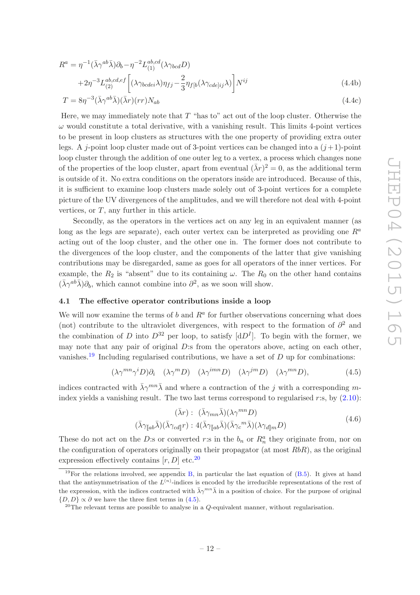$$
R^{a} = \eta^{-1}(\bar{\lambda}\gamma^{ab}\bar{\lambda})\partial_{b} - \eta^{-2}L_{(1)}^{ab,cd}(\lambda\gamma_{bcd}D)
$$
  
+2\eta^{-3}L\_{(2)}^{ab,cd,ef}\left[ (\lambda\gamma\_{bcdei}\lambda)\eta\_{fj} - \frac{2}{3}\eta\_{f[b}(\lambda\gamma\_{cde]ij}\lambda) \right]N^{ij}(4.4b)

<span id="page-12-1"></span>
$$
T = 8\eta^{-3} (\bar{\lambda}\gamma^{ab}\bar{\lambda})(\bar{\lambda}r)(rr)N_{ab}
$$
\n(4.4c)

Here, we may immediately note that  $T$  "has to" act out of the loop cluster. Otherwise the  $\omega$  would constitute a total derivative, with a vanishing result. This limits 4-point vertices to be present in loop clusters as structures with the one property of providing extra outer legs. A j-point loop cluster made out of 3-point vertices can be changed into a  $(j+1)$ -point loop cluster through the addition of one outer leg to a vertex, a process which changes none of the properties of the loop cluster, apart from eventual  $(\bar{\lambda}r)^2 = 0$ , as the additional term is outside of it. No extra conditions on the operators inside are introduced. Because of this, it is sufficient to examine loop clusters made solely out of 3-point vertices for a complete picture of the UV divergences of the amplitudes, and we will therefore not deal with 4-point vertices, or  $T$ , any further in this article.

Secondly, as the operators in the vertices act on any leg in an equivalent manner (as long as the legs are separate), each outer vertex can be interpreted as providing one  $R^a$ acting out of the loop cluster, and the other one in. The former does not contribute to the divergences of the loop cluster, and the components of the latter that give vanishing contributions may be disregarded, same as goes for all operators of the inner vertices. For example, the  $R_2$  is "absent" due to its containing  $\omega$ . The  $R_0$  on the other hand contains  $(\bar{\lambda}\gamma^{ab}\bar{\lambda})\partial_b$ , which cannot combine into  $\partial^2$ , as we soon will show.

## <span id="page-12-0"></span>4.1 The effective operator contributions inside a loop

We will now examine the terms of  $b$  and  $R^a$  for further observations concerning what does (not) contribute to the ultraviolet divergences, with respect to the formation of  $\partial^2$  and the combination of D into  $D^{32}$  per loop, to satisfy  $[dD^I]$ . To begin with the former, we may note that any pair of original  $D$ :s from the operators above, acting on each other, vanishes.<sup>[19](#page-12-2)</sup> Including regularised contributions, we have a set of  $D$  up for combinations:

<span id="page-12-4"></span>
$$
(\lambda \gamma^{mn} \gamma^i D) \partial_i \quad (\lambda \gamma^m D) \quad (\lambda \gamma^{imn} D) \quad (\lambda \gamma^{jm} D) \quad (\lambda \gamma^{mn} D), \tag{4.5}
$$

indices contracted with  $\bar{\lambda}\gamma^{mn}\bar{\lambda}$  and where a contraction of the j with a corresponding mindex yields a vanishing result. The two last terms correspond to regularised r:s, by  $(2.10)$ :

$$
(\bar{\lambda}r): (\bar{\lambda}\gamma_{mn}\bar{\lambda})(\lambda\gamma^{mn}D)
$$

$$
(\bar{\lambda}\gamma_{\llap{$\parallel$ab}}\bar{\lambda})(\bar{\lambda}\gamma_{cd\llap{$\parallel$b}}r): 4(\bar{\lambda}\gamma_{\llap{$\parallel$ab}}\bar{\lambda})(\bar{\lambda}\gamma_c{}^m\bar{\lambda})(\lambda\gamma_{d\llap{$\parallel$mb$m}}D)
$$
\n
$$
(4.6)
$$

These do not act on the D:s or converted r:s in the  $b_n$  or  $R_n^a$  they originate from, nor on the configuration of operators originally on their propagator (at most  $RbR$ ), as the original expression effectively contains  $[r, D]$  etc.<sup>[20](#page-12-3)</sup>

<span id="page-12-2"></span><sup>&</sup>lt;sup>19</sup>For the relations involved, see appendix [B,](#page-18-1) in particular the last equation of  $(B.5)$ . It gives at hand that the antisymmetrisation of the  $L^{(n)}$ -indices is encoded by the irreducible representations of the rest of the expression, with the indices contracted with  $\bar{\lambda}\gamma^{mn}\bar{\lambda}$  in a position of choice. For the purpose of original  $\{D, D\} \propto \partial$  we have the three first terms in [\(4.5\)](#page-12-4).

<span id="page-12-3"></span><sup>&</sup>lt;sup>20</sup>The relevant terms are possible to analyse in a *Q*-equivalent manner, without regularisation.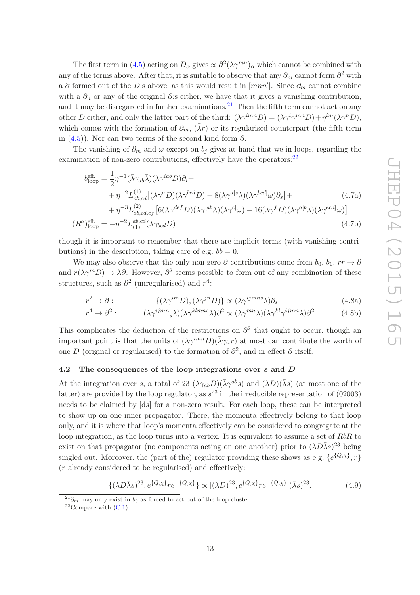The first term in [\(4.5\)](#page-12-4) acting on  $D_{\alpha}$  gives  $\propto \partial^2(\lambda \gamma^{mn})_{\alpha}$  which cannot be combined with any of the terms above. After that, it is suitable to observe that any  $\partial_m$  cannot form  $\partial^2$  with a ∂ formed out of the D:s above, as this would result in  $[mnn']$ . Since  $\partial_m$  cannot combine with a  $\partial_n$  or any of the original  $\partial$ :s either, we have that it gives a vanishing contribution, and it may be disregarded in further examinations.<sup>[21](#page-13-1)</sup> Then the fifth term cannot act on any other D either, and only the latter part of the third:  $(\lambda \gamma^{imn} D) = (\lambda \gamma^i \gamma^{mn} D) + \eta^{im} (\lambda \gamma^n D)$ , which comes with the formation of  $\partial_m$ ,  $(\bar{\lambda}r)$  or its regularised counterpart (the fifth term in  $(4.5)$ ). Nor can two terms of the second kind form  $\partial$ .

The vanishing of  $\partial_m$  and  $\omega$  except on  $b_j$  gives at hand that we in loops, regarding the examination of non-zero contributions, effectively have the operators:  $22$ 

$$
b_{\text{loop}}^{\text{eff.}} = \frac{1}{2} \eta^{-1} (\bar{\lambda} \gamma_{ab} \bar{\lambda}) (\lambda \gamma^{iab} D) \partial_i +
$$
  
+ 
$$
\eta^{-2} L_{ab,cd}^{(1)} [(\lambda \gamma^a D)(\lambda \gamma^{bcd} D) + 8(\lambda \gamma^{a[s} \lambda) (\lambda \gamma^{bcd}] \omega) \partial_s] +
$$
  
+ 
$$
\eta^{-3} L_{ab,cd,ef}^{(2)} [6(\lambda \gamma^{def} D)(\lambda \gamma^{[ab} \lambda) (\lambda \gamma^{c]} \omega) - 16(\lambda \gamma^f D)(\lambda \gamma^{a[b} \lambda) (\lambda \gamma^{ecd} \omega)]
$$
(4.7a)

$$
(R^a)_{\text{loop}}^{\text{eff.}} = -\eta^{-2} L_{(1)}^{ab,cd} (\lambda \gamma_{bcd} D) \tag{4.7b}
$$

though it is important to remember that there are implicit terms (with vanishing contributions) in the description, taking care of e.g.  $bb = 0$ .

We may also observe that the only non-zero  $\partial$ -contributions come from  $b_0, b_1, rr \rightarrow \partial$ and  $r(\lambda \gamma^m D) \to \lambda \partial$ . However,  $\partial^2$  seems possible to form out of any combination of these structures, such as  $\partial^2$  (unregularised) and  $r^4$ :

$$
r^2 \to \partial : \qquad \{ (\lambda \gamma^{im} D), (\lambda \gamma^{jn} D) \} \propto (\lambda \gamma^{ijmn s} \lambda) \partial_s \qquad (4.8a)
$$

$$
r^4 \to \partial^2: \qquad (\lambda \gamma^{ijmn}{}_s \lambda)(\lambda \gamma^{kl\bar{m}\bar{n}s} \lambda) \partial^2 \propto (\lambda \gamma^{\bar{m}\bar{n}} \lambda)(\lambda \gamma^{kl} \gamma^{ijmn} \lambda) \partial^2 \qquad (4.8b)
$$

This complicates the deduction of the restrictions on  $\partial^2$  that ought to occur, though an important point is that the units of  $(\lambda \gamma^{imn} D)(\bar{\lambda} \gamma_{it}r)$  at most can contribute the worth of one D (original or regularised) to the formation of  $\partial^2$ , and in effect  $\partial$  itself.

#### <span id="page-13-0"></span>4.2 The consequences of the loop integrations over s and D

At the integration over s, a total of 23  $(\lambda \gamma_{ab}D)(\bar{\lambda}\gamma^{ab}s)$  and  $(\lambda D)(\bar{\lambda}s)$  (at most one of the latter) are provided by the loop regulator, as  $s^{23}$  in the irreducible representation of (02003) needs to be claimed by [ds] for a non-zero result. For each loop, these can be interpreted to show up on one inner propagator. There, the momenta effectively belong to that loop only, and it is where that loop's momenta effectively can be considered to congregate at the loop integration, as the loop turns into a vertex. It is equivalent to assume a set of RbR to exist on that propagator (no components acting on one another) prior to  $(\lambda D\bar{\lambda}s)^{23}$  being singled out. Moreover, the (part of the) regulator providing these shows as e.g.  $\{e^{\{Q,\chi\}},r\}$ (r already considered to be regularised) and effectively:

$$
\{(\lambda D\bar{\lambda}s)^{23}, e^{\{Q,\chi\}}r e^{-\{Q,\chi\}}\} \propto [(\lambda D)^{23}, e^{\{Q,\chi\}}r e^{-\{Q,\chi\}}](\bar{\lambda}s)^{23}.
$$
 (4.9)

<sup>&</sup>lt;sup>21</sup> $\partial_m$  may only exist in  $b_0$  as forced to act out of the loop cluster.

<span id="page-13-2"></span><span id="page-13-1"></span><sup>&</sup>lt;sup>22</sup>Compare with  $(C.1)$ .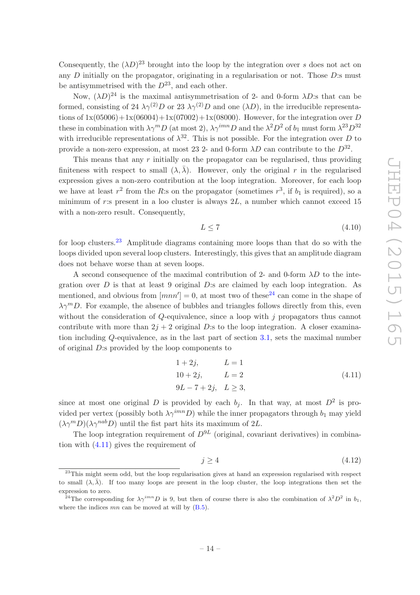Consequently, the  $(\lambda D)^{23}$  brought into the loop by the integration over s does not act on any  $D$  initially on the propagator, originating in a regularisation or not. Those  $D$ :s must be antisymmetrised with the  $D^{23}$ , and each other.

Now,  $(\lambda D)^{24}$  is the maximal antisymmetrisation of 2- and 0-form  $\lambda D$ :s that can be formed, consisting of 24  $\lambda \gamma^{(2)} D$  or 23  $\lambda \gamma^{(2)} D$  and one  $(\lambda D)$ , in the irreducible representations of  $1x(05006) + 1x(06004) + 1x(07002) + 1x(08000)$ . However, for the integration over D these in combination with  $\lambda \gamma^m D$  (at most 2),  $\lambda \gamma^{imn} D$  and the  $\lambda^2 D^2$  of  $b_1$  must form  $\lambda^{23} D^{32}$ with irreducible representations of  $\lambda^{32}$ . This is not possible. For the integration over D to provide a non-zero expression, at most 23 2- and 0-form  $\lambda D$  can contribute to the  $D^{32}$ .

This means that any  $r$  initially on the propagator can be regularised, thus providing finiteness with respect to small  $(\lambda, \overline{\lambda})$ . However, only the original r in the regularised expression gives a non-zero contribution at the loop integration. Moreover, for each loop we have at least  $r^2$  from the R:s on the propagator (sometimes  $r^3$ , if  $b_1$  is required), so a minimum of r:s present in a loo cluster is always  $2L$ , a number which cannot exceed 15 with a non-zero result. Consequently,

<span id="page-14-0"></span>
$$
L \le 7\tag{4.10}
$$

for loop clusters.<sup>[23](#page-14-1)</sup> Amplitude diagrams containing more loops than that do so with the loops divided upon several loop clusters. Interestingly, this gives that an amplitude diagram does not behave worse than at seven loops.

A second consequence of the maximal contribution of 2- and 0-form  $\lambda D$  to the integration over  $D$  is that at least 9 original  $D$ :s are claimed by each loop integration. As mentioned, and obvious from  $[mnn'] = 0$ , at most two of these<sup>[24](#page-14-2)</sup> can come in the shape of  $\lambda \gamma^{m}D$ . For example, the absence of bubbles and triangles follows directly from this, even without the consideration of  $Q$ -equivalence, since a loop with j propagators thus cannot contribute with more than  $2j + 2$  original D:s to the loop integration. A closer examination including Q-equivalence, as in the last part of section [3.1,](#page-9-0) sets the maximal number of original D:s provided by the loop components to

<span id="page-14-3"></span>
$$
1 + 2j, \t L = 1\n10 + 2j, \t L = 2\n9L - 7 + 2j, \t L \ge 3,
$$
\n(4.11)

since at most one original D is provided by each  $b_j$ . In that way, at most  $D^2$  is provided per vertex (possibly both  $\lambda \gamma^{imn}D$ ) while the inner propagators through  $b_1$  may yield  $(\lambda \gamma^m D)(\lambda \gamma^{nab} D)$  until the fist part hits its maximum of 2L.

The loop integration requirement of  $D^{9L}$  (original, covariant derivatives) in combination with [\(4.11\)](#page-14-3) gives the requirement of

$$
j \ge 4\tag{4.12}
$$

<span id="page-14-1"></span><sup>&</sup>lt;sup>23</sup>This might seem odd, but the loop regularisation gives at hand an expression regularised with respect to small  $(\lambda, \overline{\lambda})$ . If too many loops are present in the loop cluster, the loop integrations then set the expression to zero.

<span id="page-14-2"></span><sup>&</sup>lt;sup>24</sup>The corresponding for  $\lambda \gamma^{imn} D$  is 9, but then of course there is also the combination of  $\lambda^2 D^2$  in  $b_1$ , where the indices  $mn$  can be moved at will by  $(B.5)$ .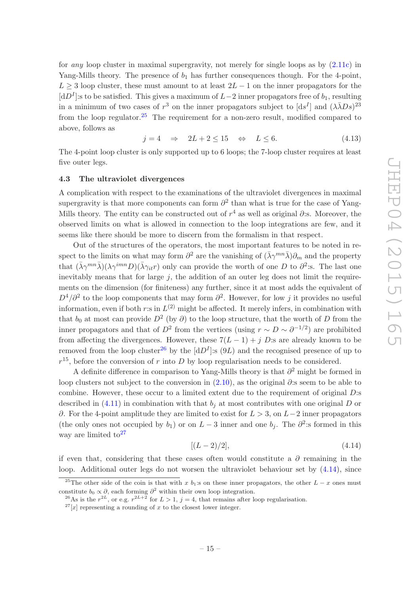for *any* loop cluster in maximal supergravity, not merely for single loops as by [\(2.11c\)](#page-6-6) in Yang-Mills theory. The presence of  $b_1$  has further consequences though. For the 4-point,  $L \geq 3$  loop cluster, these must amount to at least  $2L - 1$  on the inner propagators for the  $[dD<sup>I</sup>]$ :s to be satisfied. This gives a maximum of  $L-2$  inner propagators free of  $b<sub>1</sub>$ , resulting in a minimum of two cases of  $r^3$  on the inner propagators subject to  $[ds^I]$  and  $(\lambda \bar{\lambda} Ds)^{23}$ from the loop regulator.<sup>[25](#page-15-2)</sup> The requirement for a non-zero result, modified compared to above, follows as

<span id="page-15-1"></span>
$$
j = 4 \quad \Rightarrow \quad 2L + 2 \le 15 \quad \Leftrightarrow \quad L \le 6. \tag{4.13}
$$

The 4-point loop cluster is only supported up to 6 loops; the 7-loop cluster requires at least five outer legs.

#### <span id="page-15-0"></span>4.3 The ultraviolet divergences

A complication with respect to the examinations of the ultraviolet divergences in maximal supergravity is that more components can form  $\partial^2$  than what is true for the case of Yang-Mills theory. The entity can be constructed out of  $r^4$  as well as original  $\partial$ :s. Moreover, the observed limits on what is allowed in connection to the loop integrations are few, and it seems like there should be more to discern from the formalism in that respect.

Out of the structures of the operators, the most important features to be noted in respect to the limits on what may form  $\partial^2$  are the vanishing of  $(\bar{\lambda}\gamma^{mn}\bar{\lambda})\partial_m$  and the property that  $(\bar{\lambda}\gamma^{mn}\bar{\lambda})(\lambda\gamma^{imn}D)(\bar{\lambda}\gamma_{it}r)$  only can provide the worth of one D to  $\partial^2$ :s. The last one inevitably means that for large  $j$ , the addition of an outer leg does not limit the requirements on the dimension (for finiteness) any further, since it at most adds the equivalent of  $D^4/\partial^2$  to the loop components that may form  $\partial^2$ . However, for low j it provides no useful information, even if both  $r: \sin L^{(2)}$  might be affected. It merely infers, in combination with that  $b_0$  at most can provide  $D^2$  (by  $\partial$ ) to the loop structure, that the worth of D from the inner propagators and that of  $D^2$  from the vertices (using  $r \sim D \sim \partial^{-1/2}$ ) are prohibited from affecting the divergences. However, these  $7(L-1) + i D$ : are already known to be removed from the loop cluster<sup>[26](#page-15-3)</sup> by the  $[dD<sup>I</sup>]$ : s  $(9L)$  and the recognised presence of up to  $r^{15}$ , before the conversion of r into D by loop regularisation needs to be considered.

A definite difference in comparison to Yang-Mills theory is that  $\partial^2$  might be formed in loop clusters not subject to the conversion in  $(2.10)$ , as the original  $\partial$ :s seem to be able to combine. However, these occur to a limited extent due to the requirement of original D:s described in  $(4.11)$  in combination with that  $b_i$  at most contributes with one original D or ∂. For the 4-point amplitude they are limited to exist for  $L > 3$ , on  $L-2$  inner propagators (the only ones not occupied by  $b_1$ ) or on  $L-3$  inner and one  $b_j$ . The  $\partial^2$ : sformed in this way are limited to<sup>[27](#page-15-4)</sup>

<span id="page-15-5"></span>
$$
[(L-2)/2], \t(4.14)
$$

if even that, considering that these cases often would constitute a  $\partial$  remaining in the loop. Additional outer legs do not worsen the ultraviolet behaviour set by  $(4.14)$ , since

<sup>&</sup>lt;sup>25</sup>The other side of the coin is that with x b<sub>1</sub>:s on these inner propagators, the other  $L - x$  ones must constitute  $b_0 \propto \partial$ , each forming  $\partial^2$  within their own loop integration.

<span id="page-15-2"></span><sup>&</sup>lt;sup>26</sup>As is the  $r^{2L}$ , or e.g.  $r^{2L+2}$  for  $L > 1$ ,  $j = 4$ , that remains after loop regularisation.

<span id="page-15-4"></span><span id="page-15-3"></span> $27[x]$  representing a rounding of x to the closest lower integer.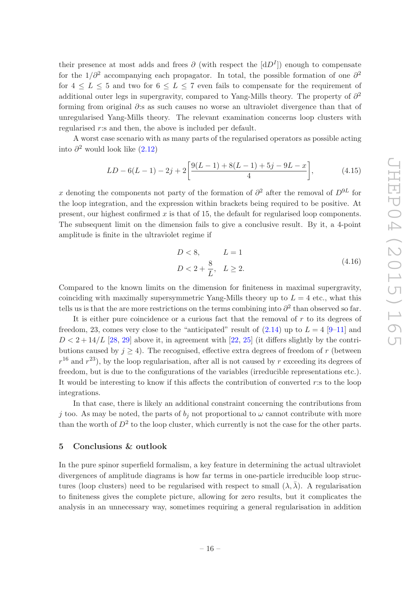their presence at most adds and frees  $\partial$  (with respect the  $[dD<sup>I</sup>]$ ) enough to compensate for the  $1/\partial^2$  accompanying each propagator. In total, the possible formation of one  $\partial^2$ for  $4 \leq L \leq 5$  and two for  $6 \leq L \leq 7$  even fails to compensate for the requirement of additional outer legs in supergravity, compared to Yang-Mills theory. The property of  $\partial^2$ forming from original ∂:s as such causes no worse an ultraviolet divergence than that of unregularised Yang-Mills theory. The relevant examination concerns loop clusters with regularised r:s and then, the above is included per default.

A worst case scenario with as many parts of the regularised operators as possible acting into  $\partial^2$  would look like  $(2.12)$ 

$$
LD - 6(L - 1) - 2j + 2\left[\frac{9(L - 1) + 8(L - 1) + 5j - 9L - x}{4}\right],
$$
\n(4.15)

x denoting the components not party of the formation of  $\partial^2$  after the removal of  $D^{9L}$  for the loop integration, and the expression within brackets being required to be positive. At present, our highest confirmed  $x$  is that of 15, the default for regularised loop components. The subsequent limit on the dimension fails to give a conclusive result. By it, a 4-point amplitude is finite in the ultraviolet regime if

$$
D < 8, \qquad L = 1
$$
\n
$$
D < 2 + \frac{8}{L}, \quad L \ge 2. \tag{4.16}
$$

Compared to the known limits on the dimension for finiteness in maximal supergravity, coinciding with maximally supersymmetric Yang-Mills theory up to  $L = 4$  etc., what this tells us is that the are more restrictions on the terms combining into  $\partial^2$  than observed so far.

It is either pure coincidence or a curious fact that the removal of r to its degrees of freedom, 23, comes very close to the "anticipated" result of  $(2.14)$  up to  $L = 4$  [\[9](#page-21-1)[–11\]](#page-21-2) and  $D < 2 + 14/L$  [\[28](#page-22-2), [29\]](#page-22-3) above it, in agreement with [\[22](#page-21-9), [25](#page-21-4)] (it differs slightly by the contributions caused by  $j \geq 4$ ). The recognised, effective extra degrees of freedom of r (between  $r^{16}$  and  $r^{23}$ ), by the loop regularisation, after all is not caused by r exceeding its degrees of freedom, but is due to the configurations of the variables (irreducible representations etc.). It would be interesting to know if this affects the contribution of converted r:s to the loop integrations.

In that case, there is likely an additional constraint concerning the contributions from j too. As may be noted, the parts of  $b_i$  not proportional to  $\omega$  cannot contribute with more than the worth of  $D^2$  to the loop cluster, which currently is not the case for the other parts.

## <span id="page-16-0"></span>5 Conclusions & outlook

In the pure spinor superfield formalism, a key feature in determining the actual ultraviolet divergences of amplitude diagrams is how far terms in one-particle irreducible loop structures (loop clusters) need to be regularised with respect to small  $(\lambda, \overline{\lambda})$ . A regularisation to finiteness gives the complete picture, allowing for zero results, but it complicates the analysis in an unnecessary way, sometimes requiring a general regularisation in addition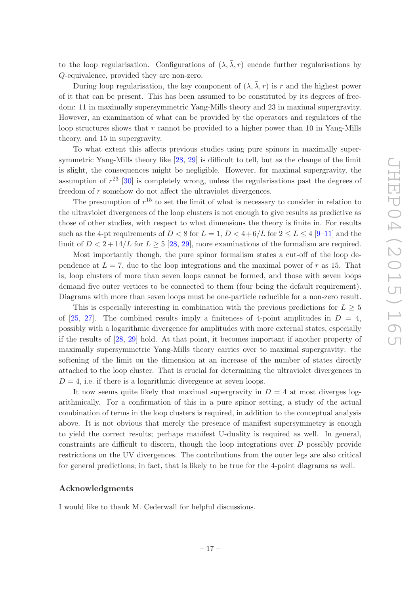to the loop regularisation. Configurations of  $(\lambda, \overline{\lambda}, r)$  encode further regularisations by Q-equivalence, provided they are non-zero.

During loop regularisation, the key component of  $(\lambda, \overline{\lambda}, r)$  is r and the highest power of it that can be present. This has been assumed to be constituted by its degrees of freedom: 11 in maximally supersymmetric Yang-Mills theory and 23 in maximal supergravity. However, an examination of what can be provided by the operators and regulators of the loop structures shows that  $r$  cannot be provided to a higher power than 10 in Yang-Mills theory, and 15 in supergravity.

To what extent this affects previous studies using pure spinors in maximally supersymmetric Yang-Mills theory like [\[28,](#page-22-2) [29](#page-22-3)] is difficult to tell, but as the change of the limit is slight, the consequences might be negligible. However, for maximal supergravity, the assumption of  $r^{23}$  [\[30](#page-22-0)] is completely wrong, unless the regularisations past the degrees of freedom of r somehow do not affect the ultraviolet divergences.

The presumption of  $r^{15}$  to set the limit of what is necessary to consider in relation to the ultraviolet divergences of the loop clusters is not enough to give results as predictive as those of other studies, with respect to what dimensions the theory is finite in. For results such as the 4-pt requirements of  $D < 8$  for  $L = 1$ ,  $D < 4+6/L$  for  $2 \le L \le 4$  [\[9](#page-21-1)-11] and the limit of  $D < 2 + 14/L$  for  $L > 5$  [\[28,](#page-22-2) [29](#page-22-3)], more examinations of the formalism are required.

Most importantly though, the pure spinor formalism states a cut-off of the loop dependence at  $L = 7$ , due to the loop integrations and the maximal power of r as 15. That is, loop clusters of more than seven loops cannot be formed, and those with seven loops demand five outer vertices to be connected to them (four being the default requirement). Diagrams with more than seven loops must be one-particle reducible for a non-zero result.

This is especially interesting in combination with the previous predictions for  $L \geq 5$ of [\[25](#page-21-4), [27\]](#page-22-1). The combined results imply a finiteness of 4-point amplitudes in  $D = 4$ , possibly with a logarithmic divergence for amplitudes with more external states, especially if the results of [\[28](#page-22-2), [29](#page-22-3)] hold. At that point, it becomes important if another property of maximally supersymmetric Yang-Mills theory carries over to maximal supergravity: the softening of the limit on the dimension at an increase of the number of states directly attached to the loop cluster. That is crucial for determining the ultraviolet divergences in  $D = 4$ , i.e. if there is a logarithmic divergence at seven loops.

It now seems quite likely that maximal supergravity in  $D = 4$  at most diverges logarithmically. For a confirmation of this in a pure spinor setting, a study of the actual combination of terms in the loop clusters is required, in addition to the conceptual analysis above. It is not obvious that merely the presence of manifest supersymmetry is enough to yield the correct results; perhaps manifest U-duality is required as well. In general, constraints are difficult to discern, though the loop integrations over D possibly provide restrictions on the UV divergences. The contributions from the outer legs are also critical for general predictions; in fact, that is likely to be true for the 4-point diagrams as well.

## Acknowledgments

I would like to thank M. Cederwall for helpful discussions.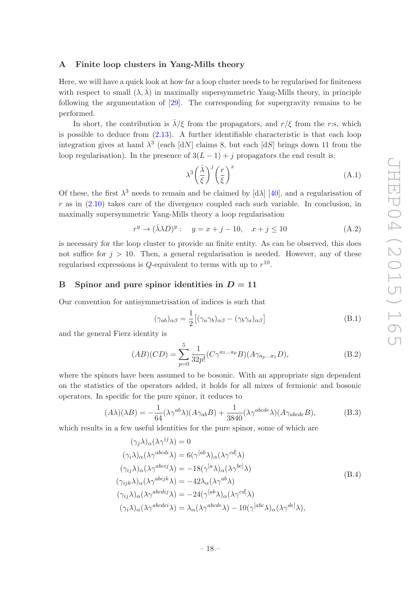## <span id="page-18-0"></span>A Finite loop clusters in Yang-Mills theory

Here, we will have a quick look at how far a loop cluster needs to be regularised for finiteness with respect to small  $(\lambda, \lambda)$  in maximally supersymmetric Yang-Mills theory, in principle following the argumentation of [\[29\]](#page-22-3). The corresponding for supergravity remains to be performed.

In short, the contribution is  $\bar{\lambda}/\xi$  from the propagators, and  $r/\xi$  from the r:s, which is possible to deduce from [\(2.13\)](#page-7-1). A further identifiable characteristic is that each loop integration gives at hand  $\lambda^3$  (each [dN] claims 8, but each [dS] brings down 11 from the loop regularisation). In the presence of  $3(L-1) + i$  propagators the end result is:

$$
\lambda^3 \left(\frac{\bar{\lambda}}{\xi}\right)^j \left(\frac{r}{\xi}\right)^x \tag{A.1}
$$

Of these, the first  $\lambda^3$  needs to remain and be claimed by [d $\lambda$ ] [\[40](#page-22-13)], and a regularisation of  $r$  as in  $(2.10)$  takes care of the divergence coupled each such variable. In conclusion, in maximally supersymmetric Yang-Mills theory a loop regularisation

$$
r^y \to (\bar{\lambda} \lambda D)^y: \quad y = x + j - 10, \quad x + j \le 10 \tag{A.2}
$$

is necessary for the loop cluster to provide an finite entity. As can be observed, this does not suffice for  $j > 10$ . Then, a general regularisation is needed. However, any of these regularised expressions is  $Q$ -equivalent to terms with up to  $r^{10}$ .

## <span id="page-18-1"></span>B Spinor and pure spinor identities in  $D = 11$

Our convention for antisymmetrisation of indices is such that

$$
(\gamma_{ab})_{\alpha\beta} = \frac{1}{2} [(\gamma_a \gamma_b)_{\alpha\beta} - (\gamma_b \gamma_a)_{\alpha\beta}]
$$
\n(B.1)

and the general Fierz identity is

$$
(AB)(CD) = \sum_{p=0}^{5} \frac{1}{32p!} (C\gamma^{a_1...a_p} B)(A\gamma_{a_p...a_1} D),
$$
 (B.2)

where the spinors have been assumed to be bosonic. With an appropriate sign dependent on the statistics of the operators added, it holds for all mixes of fermionic and bosonic operators. In specific for the pure spinor, it reduces to

$$
(A\lambda)(\lambda B) = -\frac{1}{64}(\lambda \gamma^{ab}\lambda)(A\gamma_{ab}B) + \frac{1}{3840}(\lambda \gamma^{abcde}\lambda)(A\gamma_{abcde}B),
$$
 (B.3)

which results in a few useful identities for the pure spinor, some of which are

$$
(\gamma_j \lambda)_{\alpha} (\lambda \gamma^{ij} \lambda) = 0
$$
  
\n
$$
(\gamma_i \lambda)_{\alpha} (\lambda \gamma^{abcdi} \lambda) = 6(\gamma^{[ab} \lambda)_{\alpha} (\lambda \gamma^{cdl} \lambda)
$$
  
\n
$$
(\gamma_{ij} \lambda)_{\alpha} (\lambda \gamma^{abcij} \lambda) = -18(\gamma^{[a} \lambda)_{\alpha} (\lambda \gamma^{bcl} \lambda)
$$
  
\n
$$
(\gamma_{ijk} \lambda)_{\alpha} (\lambda \gamma^{abijk} \lambda) = -42\lambda_{\alpha} (\lambda \gamma^{ab} \lambda)
$$
  
\n
$$
(\gamma_{ij} \lambda)_{\alpha} (\lambda \gamma^{abcdij} \lambda) = -24(\gamma^{[ab} \lambda)_{\alpha} (\lambda \gamma^{cdl} \lambda)
$$
  
\n
$$
(\gamma_i \lambda)_{\alpha} (\lambda \gamma^{abcdei} \lambda) = \lambda_{\alpha} (\lambda \gamma^{abcde} \lambda) - 10(\gamma^{[abc} \lambda)_{\alpha} (\lambda \gamma^{del} \lambda),
$$
\n
$$
(9)
$$
\n
$$
(9)
$$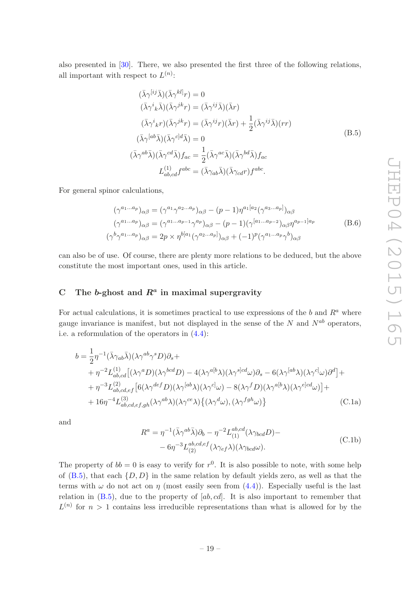also presented in [\[30](#page-22-0)]. There, we also presented the first three of the following relations, all important with respect to  $L^{(n)}$ :

<span id="page-19-1"></span>
$$
(\bar{\lambda}\gamma^{[ij}\bar{\lambda})(\bar{\lambda}\gamma^{kl}]r) = 0
$$
  
\n
$$
(\bar{\lambda}\gamma^{i}{}_{k}\bar{\lambda})(\bar{\lambda}\gamma^{jk}r) = (\bar{\lambda}\gamma^{ij}\bar{\lambda})(\bar{\lambda}r)
$$
  
\n
$$
(\bar{\lambda}\gamma^{i}{}_{k}r)(\bar{\lambda}\gamma^{jk}r) = (\bar{\lambda}\gamma^{ij}r)(\bar{\lambda}r) + \frac{1}{2}(\bar{\lambda}\gamma^{ij}\bar{\lambda})(rr)
$$
  
\n
$$
(\bar{\lambda}\gamma^{[ab}\bar{\lambda})(\bar{\lambda}\gamma^{c]d}\bar{\lambda}) = 0
$$
  
\n
$$
(\bar{\lambda}\gamma^{ab}\bar{\lambda})(\bar{\lambda}\gamma^{cd}\bar{\lambda})f_{ac} = \frac{1}{2}(\bar{\lambda}\gamma^{ac}\bar{\lambda})(\bar{\lambda}\gamma^{bd}\bar{\lambda})f_{ac}
$$
  
\n
$$
L_{ab,cd}^{(1)}f^{abc} = (\bar{\lambda}\gamma_{ab}\bar{\lambda})(\bar{\lambda}\gamma_{cd}r)f^{abc}.
$$
\n(B.5)

For general spinor calculations,

$$
(\gamma^{a_1...a_p})_{\alpha\beta} = (\gamma^{a_1}\gamma^{a_2...a_p})_{\alpha\beta} - (p-1)\eta^{a_1[a_2}(\gamma^{a_3...a_p]})_{\alpha\beta}
$$

$$
(\gamma^{a_1...a_p})_{\alpha\beta} = (\gamma^{a_1...a_{p-1}}\gamma^{a_p})_{\alpha\beta} - (p-1)(\gamma^{[a_1...a_{p-2}})_{\alpha\beta}\eta^{a_{p-1}]a_p}
$$

$$
(\gamma^b\gamma^{a_1...a_p})_{\alpha\beta} = 2p \times \eta^{b[a_1}(\gamma^{a_2...a_p)})_{\alpha\beta} + (-1)^p(\gamma^{a_1...a_p}\gamma^b)_{\alpha\beta}
$$
(B.6)

can also be of use. Of course, there are plenty more relations to be deduced, but the above constitute the most important ones, used in this article.

## <span id="page-19-0"></span>C The b-ghost and  $R^a$  in maximal supergravity

R

For actual calculations, it is sometimes practical to use expressions of the b and  $R^a$  where gauge invariance is manifest, but not displayed in the sense of the  $N$  and  $N^{ab}$  operators, i.e. a reformulation of the operators in [\(4.4\)](#page-12-1):

$$
b = \frac{1}{2} \eta^{-1} (\bar{\lambda} \gamma_{ab} \bar{\lambda}) (\lambda \gamma^{ab} \gamma^s D) \partial_s +
$$
  
+ 
$$
\eta^{-2} L_{ab,cd}^{(1)} [(\lambda \gamma^a D)(\lambda \gamma^{bcd} D) - 4(\lambda \gamma^{a[b} \lambda) (\lambda \gamma^{s]cd} \omega) \partial_s - 6(\lambda \gamma^{[ab} \lambda) (\lambda \gamma^{c]} \omega) \partial^d] +
$$
  
+ 
$$
\eta^{-3} L_{ab,cd,ef}^{(2)} [6(\lambda \gamma^{def} D)(\lambda \gamma^{[ab} \lambda) (\lambda \gamma^{c]} \omega) - 8(\lambda \gamma^f D)(\lambda \gamma^{a[b} \lambda) (\lambda \gamma^{c]cd} \omega)] +
$$
  
+ 
$$
16 \eta^{-4} L_{ab,cd,ef,gh}^{(3)} (\lambda \gamma^{ab} \lambda) (\lambda \gamma^{ce} \lambda) \{ (\lambda \gamma^d \omega), (\lambda \gamma^{fgh} \omega) \}
$$
(C.1a)

and

<span id="page-19-2"></span>
$$
R^{a} = \eta^{-1}(\bar{\lambda}\gamma^{ab}\bar{\lambda})\partial_{b} - \eta^{-2}L_{(1)}^{ab,cd}(\lambda\gamma_{bcd}D) -
$$
  

$$
-6\eta^{-3}L_{(2)}^{ab,cd,ef}(\lambda\gamma_{ef}\lambda)(\lambda\gamma_{bcd}\omega).
$$
 (C.1b)

The property of  $bb = 0$  is easy to verify for  $r^0$ . It is also possible to note, with some help of  $(B.5)$ , that each  $\{D, D\}$  in the same relation by default yields zero, as well as that the terms with  $\omega$  do not act on  $\eta$  (most easily seen from [\(4.4\)](#page-12-1)). Especially useful is the last relation in  $(B.5)$ , due to the property of  $[ab, cd]$ . It is also important to remember that  $L^{(n)}$  for  $n > 1$  contains less irreducible representations than what is allowed for by the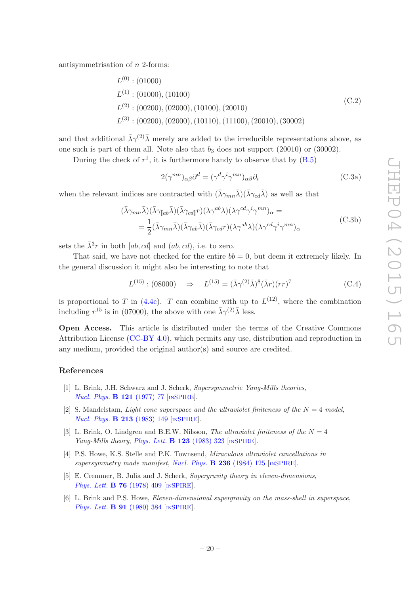antisymmetrisation of n 2-forms:

$$
L^{(0)} : (01000)
$$
  
\n
$$
L^{(1)} : (01000), (10100)
$$
  
\n
$$
L^{(2)} : (00200), (02000), (10100), (20010)
$$
  
\n
$$
L^{(3)} : (00200), (02000), (10110), (11100), (20010), (30002)
$$
\n(C.2)

and that additional  $\bar{\lambda}\gamma^{(2)}\bar{\lambda}$  merely are added to the irreducible representations above, as one such is part of them all. Note also that  $b_3$  does not support (20010) or (30002).

During the check of  $r^1$ , it is furthermore handy to observe that by  $(B.5)$ 

$$
2(\gamma^{mn})_{\alpha\beta}\partial^d = (\gamma^d \gamma^i \gamma^{mn})_{\alpha\beta}\partial_i
$$
\n(C.3a)

when the relevant indices are contracted with  $(\bar{\lambda}\gamma_{mn}\bar{\lambda})(\bar{\lambda}\gamma_{cd}\bar{\lambda})$  as well as that

$$
(\bar{\lambda}\gamma_{mn}\bar{\lambda})(\bar{\lambda}\gamma_{\llbracket ab}\bar{\lambda})(\bar{\lambda}\gamma_{cd\llbracket }r)(\lambda\gamma^{ab}\lambda)(\lambda\gamma^{cd}\gamma^{i}\gamma^{mn})_{\alpha} =
$$
  

$$
= \frac{1}{2}(\bar{\lambda}\gamma_{mn}\bar{\lambda})(\bar{\lambda}\gamma_{ab}\bar{\lambda})(\bar{\lambda}\gamma_{cd}r)(\lambda\gamma^{ab}\lambda)(\lambda\gamma^{cd}\gamma^{i}\gamma^{mn})_{\alpha}
$$
(C.3b)

sets the  $\bar{\lambda}^3 r$  in both [ab, cd] and (ab, cd), i.e. to zero.

That said, we have not checked for the entire  $bb = 0$ , but deem it extremely likely. In the general discussion it might also be interesting to note that

> <span id="page-20-5"></span> $L^{(15)}$ : (08000)  $\Rightarrow L^{(15)} = (\bar{\lambda}\gamma^{(2)}\bar{\lambda})^8(\bar{\lambda}r)(rr)^7$  $(C.4)$

is proportional to T in [\(4.4c\)](#page-12-1). T can combine with up to  $L^{(12)}$ , where the combination including  $r^{15}$  is in (07000), the above with one  $\bar{\lambda}\gamma^{(2)}\bar{\lambda}$  less.

Open Access. This article is distributed under the terms of the Creative Commons Attribution License [\(CC-BY 4.0\)](http://creativecommons.org/licenses/by/4.0/), which permits any use, distribution and reproduction in any medium, provided the original author(s) and source are credited.

## References

- <span id="page-20-0"></span>[1] L. Brink, J.H. Schwarz and J. Scherk, *Supersymmetric Yang-Mills theories*, *[Nucl. Phys.](http://dx.doi.org/10.1016/0550-3213(77)90328-5)* **B 121** (1977) 77 [IN[SPIRE](http://inspirehep.net/search?p=find+J+Nucl.Phys.,B121,77)].
- <span id="page-20-1"></span>[2] S. Mandelstam, *Light cone superspace and the ultraviolet finiteness of the*  $N = 4$  *model*, *[Nucl. Phys.](http://dx.doi.org/10.1016/0550-3213(83)90179-7)* **B 213** (1983) 149 [IN[SPIRE](http://inspirehep.net/search?p=find+J+Nucl.Phys.,B213,149)].
- [3] L. Brink, O. Lindgren and B.E.W. Nilsson, *The ultraviolet finiteness of the*  $N = 4$ *Yang-Mills theory*, *[Phys. Lett.](http://dx.doi.org/10.1016/0370-2693(83)91210-8)* B 123 (1983) 323 [IN[SPIRE](http://inspirehep.net/search?p=find+J+Phys.Lett.,B123,323)].
- <span id="page-20-2"></span>[4] P.S. Howe, K.S. Stelle and P.K. Townsend, *Miraculous ultraviolet cancellations in supersymmetry made manifest*, *[Nucl. Phys.](http://dx.doi.org/10.1016/0550-3213(84)90528-5)* B 236 (1984) 125 [IN[SPIRE](http://inspirehep.net/search?p=find+J+Nucl.Phys.,B236,125)].
- <span id="page-20-3"></span>[5] E. Cremmer, B. Julia and J. Scherk, *Supergravity theory in eleven-dimensions*, *[Phys. Lett.](http://dx.doi.org/10.1016/0370-2693(78)90894-8)* **B 76** (1978) 409 [IN[SPIRE](http://inspirehep.net/search?p=find+J+Phys.Lett.,B76,409)].
- <span id="page-20-4"></span>[6] L. Brink and P.S. Howe, *Eleven-dimensional supergravity on the mass-shell in superspace*, *[Phys. Lett.](http://dx.doi.org/10.1016/0370-2693(80)91002-3)* **B 91** (1980) 384 [IN[SPIRE](http://inspirehep.net/search?p=find+J+Phys.Lett.,B91,384)].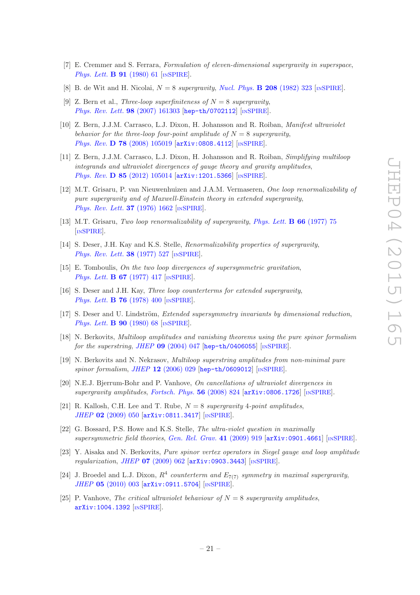- <span id="page-21-8"></span>[7] E. Cremmer and S. Ferrara, *Formulation of eleven-dimensional supergravity in superspace*, *[Phys. Lett.](http://dx.doi.org/10.1016/0370-2693(80)90662-0)* **B 91** (1980) 61 [IN[SPIRE](http://inspirehep.net/search?p=find+J+Phys.Lett.,B91,61)].
- <span id="page-21-0"></span>[8] B. de Wit and H. Nicolai,  $N = 8$  *supergravity*, *[Nucl. Phys.](http://dx.doi.org/10.1016/0550-3213(82)90120-1)* **B 208** (1982) 323 [IN[SPIRE](http://inspirehep.net/search?p=find+J+Nucl.Phys.,B208,323)].
- <span id="page-21-1"></span>[9] Z. Bern et al., *Three-loop superfiniteness of*  $N = 8$  *supergravity*, *[Phys. Rev. Lett.](http://dx.doi.org/10.1103/PhysRevLett.98.161303)* 98 (2007) 161303 [[hep-th/0702112](http://arxiv.org/abs/hep-th/0702112)] [IN[SPIRE](http://inspirehep.net/search?p=find+EPRINT+hep-th/0702112)].
- [10] Z. Bern, J.J.M. Carrasco, L.J. Dixon, H. Johansson and R. Roiban, *Manifest ultraviolet behavior for the three-loop four-point amplitude of*  $N = 8$  *supergravity*, *Phys. Rev.* **D 78** [\(2008\) 105019](http://dx.doi.org/10.1103/PhysRevD.78.105019) [[arXiv:0808.4112](http://arxiv.org/abs/0808.4112)] [IN[SPIRE](http://inspirehep.net/search?p=find+EPRINT+arXiv:0808.4112)].
- <span id="page-21-2"></span>[11] Z. Bern, J.J.M. Carrasco, L.J. Dixon, H. Johansson and R. Roiban, *Simplifying multiloop integrands and ultraviolet divergences of gauge theory and gravity amplitudes*, *Phys. Rev.* **D 85** [\(2012\) 105014](http://dx.doi.org/10.1103/PhysRevD.85.105014) [[arXiv:1201.5366](http://arxiv.org/abs/1201.5366)] [IN[SPIRE](http://inspirehep.net/search?p=find+EPRINT+arXiv:1201.5366)].
- <span id="page-21-3"></span>[12] M.T. Grisaru, P. van Nieuwenhuizen and J.A.M. Vermaseren, *One loop renormalizability of pure supergravity and of Maxwell-Einstein theory in extended supergravity*, *[Phys. Rev. Lett.](http://dx.doi.org/10.1103/PhysRevLett.37.1662)* **37** (1976) 1662 [IN[SPIRE](http://inspirehep.net/search?p=find+J+Phys.Rev.Lett.,37,1662)].
- [13] M.T. Grisaru, *Two loop renormalizability of supergravity*, *[Phys. Lett.](http://dx.doi.org/10.1016/0370-2693(77)90617-7)* B 66 (1977) 75 [IN[SPIRE](http://inspirehep.net/search?p=find+J+Phys.Lett.,B66,75)].
- [14] S. Deser, J.H. Kay and K.S. Stelle, *Renormalizability properties of supergravity*, *[Phys. Rev. Lett.](http://dx.doi.org/10.1103/PhysRevLett.38.527)* **38** (1977) 527 [IN[SPIRE](http://inspirehep.net/search?p=find+J+Phys.Rev.Lett.,38,527)].
- [15] E. Tomboulis, *On the two loop divergences of supersymmetric gravitation*, *[Phys. Lett.](http://dx.doi.org/10.1016/0370-2693(77)90434-8)* **B 67** (1977) 417 [IN[SPIRE](http://inspirehep.net/search?p=find+J+Phys.Lett.,B67,417)].
- [16] S. Deser and J.H. Kay, *Three loop counterterms for extended supergravity*, *[Phys. Lett.](http://dx.doi.org/10.1016/0370-2693(78)90892-4)* **B 76** (1978) 400 [IN[SPIRE](http://inspirehep.net/search?p=find+J+Phys.Lett.,B76,400)].
- [17] S. Deser and U. Lindström, *Extended supersymmetry invariants by dimensional reduction*, *[Phys. Lett.](http://dx.doi.org/10.1016/0370-2693(80)90053-2)* **B** 90 (1980) 68 [IN[SPIRE](http://inspirehep.net/search?p=find+J+Phys.Lett.,B90,68)].
- <span id="page-21-5"></span>[18] N. Berkovits, *Multiloop amplitudes and vanishing theorems using the pure spinor formalism for the superstring*, *JHEP* 09 [\(2004\) 047](http://dx.doi.org/10.1088/1126-6708/2004/09/047) [[hep-th/0406055](http://arxiv.org/abs/hep-th/0406055)] [IN[SPIRE](http://inspirehep.net/search?p=find+EPRINT+hep-th/0406055)].
- <span id="page-21-6"></span>[19] N. Berkovits and N. Nekrasov, *Multiloop superstring amplitudes from non-minimal pure spinor formalism*, *JHEP* 12 [\(2006\) 029](http://dx.doi.org/10.1088/1126-6708/2006/12/029) [[hep-th/0609012](http://arxiv.org/abs/hep-th/0609012)] [IN[SPIRE](http://inspirehep.net/search?p=find+EPRINT+hep-th/0609012)].
- [20] N.E.J. Bjerrum-Bohr and P. Vanhove, *On cancellations of ultraviolet divergences in supergravity amplitudes*, *[Fortsch. Phys.](http://dx.doi.org/10.1002/prop.200810561)* 56 (2008) 824 [[arXiv:0806.1726](http://arxiv.org/abs/0806.1726)] [IN[SPIRE](http://inspirehep.net/search?p=find+EPRINT+arXiv:0806.1726)].
- [21] R. Kallosh, C.H. Lee and T. Rube, N = 8 *supergravity* 4*-point amplitudes*, *JHEP* 02 [\(2009\) 050](http://dx.doi.org/10.1088/1126-6708/2009/02/050) [[arXiv:0811.3417](http://arxiv.org/abs/0811.3417)] [IN[SPIRE](http://inspirehep.net/search?p=find+EPRINT+arXiv:0811.3417)].
- <span id="page-21-9"></span>[22] G. Bossard, P.S. Howe and K.S. Stelle, *The ultra-violet question in maximally supersymmetric field theories*, *[Gen. Rel. Grav.](http://dx.doi.org/10.1007/s10714-009-0775-0)* 41 (2009) 919 [[arXiv:0901.4661](http://arxiv.org/abs/0901.4661)] [IN[SPIRE](http://inspirehep.net/search?p=find+EPRINT+arXiv:0901.4661)].
- <span id="page-21-7"></span>[23] Y. Aisaka and N. Berkovits, *Pure spinor vertex operators in Siegel gauge and loop amplitude regularization*, *JHEP* 07 [\(2009\) 062](http://dx.doi.org/10.1088/1126-6708/2009/07/062) [[arXiv:0903.3443](http://arxiv.org/abs/0903.3443)] [IN[SPIRE](http://inspirehep.net/search?p=find+EPRINT+arXiv:0903.3443)].
- [24] J. Broedel and L.J. Dixon,  $R^4$  *counterterm and*  $E_{7(7)}$  *symmetry in maximal supergravity*, *JHEP* 05 [\(2010\) 003](http://dx.doi.org/10.1007/JHEP05(2010)003) [[arXiv:0911.5704](http://arxiv.org/abs/0911.5704)] [IN[SPIRE](http://inspirehep.net/search?p=find+EPRINT+arXiv:0911.5704)].
- <span id="page-21-4"></span>[25] P. Vanhove, *The critical ultraviolet behaviour of*  $N = 8$  *supergravity amplitudes*, [arXiv:1004.1392](http://arxiv.org/abs/1004.1392) [IN[SPIRE](http://inspirehep.net/search?p=find+EPRINT+arXiv:1004.1392)].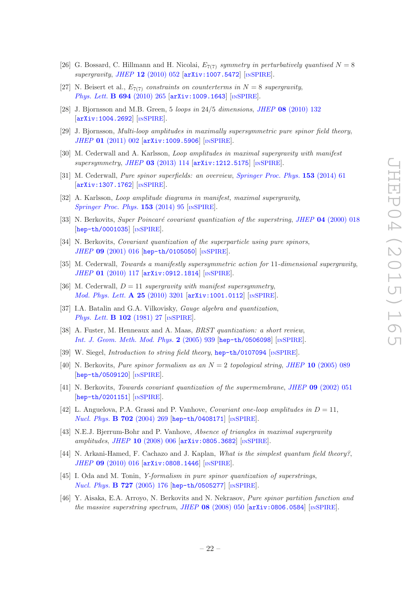- [26] G. Bossard, C. Hillmann and H. Nicolai,  $E_{7(7)}$  symmetry in perturbatively quantised  $N = 8$ *supergravity*, *JHEP* 12 [\(2010\) 052](http://dx.doi.org/10.1007/JHEP12(2010)052) [[arXiv:1007.5472](http://arxiv.org/abs/1007.5472)] [IN[SPIRE](http://inspirehep.net/search?p=find+EPRINT+arXiv:1007.5472)].
- <span id="page-22-1"></span>[27] N. Beisert et al.,  $E_{7(7)}$  *constraints on counterterms in*  $N = 8$  *supergravity*, *[Phys. Lett.](http://dx.doi.org/10.1016/j.physletb.2010.09.069)* **B 694** (2010) 265 [[arXiv:1009.1643](http://arxiv.org/abs/1009.1643)] [IN[SPIRE](http://inspirehep.net/search?p=find+EPRINT+arXiv:1009.1643)].
- <span id="page-22-2"></span>[28] J. Bjornsson and M.B. Green, 5 *loops in* 24/5 *dimensions*, *JHEP* 08 [\(2010\) 132](http://dx.doi.org/10.1007/JHEP08(2010)132) [[arXiv:1004.2692](http://arxiv.org/abs/1004.2692)] [IN[SPIRE](http://inspirehep.net/search?p=find+EPRINT+arXiv:1004.2692)].
- <span id="page-22-3"></span>[29] J. Bjornsson, *Multi-loop amplitudes in maximally supersymmetric pure spinor field theory*, *JHEP* 01 [\(2011\) 002](http://dx.doi.org/10.1007/JHEP01(2011)002) [[arXiv:1009.5906](http://arxiv.org/abs/1009.5906)] [IN[SPIRE](http://inspirehep.net/search?p=find+EPRINT+arXiv:1009.5906)].
- <span id="page-22-0"></span>[30] M. Cederwall and A. Karlsson, *Loop amplitudes in maximal supergravity with manifest supersymmetry*, *JHEP* 03 [\(2013\) 114](http://dx.doi.org/10.1007/JHEP03(2013)114) [[arXiv:1212.5175](http://arxiv.org/abs/1212.5175)] [IN[SPIRE](http://inspirehep.net/search?p=find+EPRINT+arXiv:1212.5175)].
- <span id="page-22-7"></span>[31] M. Cederwall, *Pure spinor superfields: an overview*, *[Springer Proc. Phys.](http://dx.doi.org/10.1007/978-3-319-03774-5_4)* 153 (2014) 61 [[arXiv:1307.1762](http://arxiv.org/abs/1307.1762)] [IN[SPIRE](http://inspirehep.net/search?p=find+EPRINT+arXiv:1307.1762)].
- <span id="page-22-4"></span>[32] A. Karlsson, *Loop amplitude diagrams in manifest, maximal supergravity*, *[Springer Proc. Phys.](http://dx.doi.org/10.1007/978-3-319-03774-5_5)* **153** (2014) 95 [IN[SPIRE](http://inspirehep.net/search?p=find+J+SPPPE,153,95)].
- <span id="page-22-5"></span>[33] N. Berkovits, *Super Poincaré covariant quantization of the superstring*, *JHEP* 04 [\(2000\) 018](http://dx.doi.org/10.1088/1126-6708/2000/04/018) [[hep-th/0001035](http://arxiv.org/abs/hep-th/0001035)] [IN[SPIRE](http://inspirehep.net/search?p=find+EPRINT+hep-th/0001035)].
- <span id="page-22-9"></span>[34] N. Berkovits, *Covariant quantization of the superparticle using pure spinors*, *JHEP* 09 [\(2001\) 016](http://dx.doi.org/10.1088/1126-6708/2001/09/016) [[hep-th/0105050](http://arxiv.org/abs/hep-th/0105050)] [IN[SPIRE](http://inspirehep.net/search?p=find+EPRINT+hep-th/0105050)].
- <span id="page-22-8"></span>[35] M. Cederwall, *Towards a manifestly supersymmetric action for* 11*-dimensional supergravity*, *JHEP* 01 [\(2010\) 117](http://dx.doi.org/10.1007/JHEP01(2010)117) [[arXiv:0912.1814](http://arxiv.org/abs/0912.1814)] [IN[SPIRE](http://inspirehep.net/search?p=find+EPRINT+arXiv:0912.1814)].
- <span id="page-22-6"></span>[36] M. Cederwall,  $D = 11$  *supergravity with manifest supersymmetry*, *[Mod. Phys. Lett.](http://dx.doi.org/10.1142/S0217732310034407)* **A 25** (2010) 3201 [[arXiv:1001.0112](http://arxiv.org/abs/1001.0112)] [IN[SPIRE](http://inspirehep.net/search?p=find+EPRINT+arXiv:1001.0112)].
- <span id="page-22-10"></span>[37] I.A. Batalin and G.A. Vilkovisky, *Gauge algebra and quantization*, *[Phys. Lett.](http://dx.doi.org/10.1016/0370-2693(81)90205-7)* **B 102** (1981) 27 [IN[SPIRE](http://inspirehep.net/search?p=find+J+Phys.Lett.,B102,27)].
- <span id="page-22-11"></span>[38] A. Fuster, M. Henneaux and A. Maas, *BRST quantization: a short review*, *[Int. J. Geom. Meth. Mod. Phys.](http://dx.doi.org/10.1142/S0219887805000892)* 2 (2005) 939 [[hep-th/0506098](http://arxiv.org/abs/hep-th/0506098)] [IN[SPIRE](http://inspirehep.net/search?p=find+EPRINT+hep-th/0506098)].
- <span id="page-22-12"></span>[39] W. Siegel, *Introduction to string field theory*, [hep-th/0107094](http://arxiv.org/abs/hep-th/0107094) [IN[SPIRE](http://inspirehep.net/search?p=find+EPRINT+hep-th/0107094)].
- <span id="page-22-13"></span>[40] N. Berkovits, *Pure spinor formalism as an*  $N = 2$  *topological string, JHEP* 10 [\(2005\) 089](http://dx.doi.org/10.1088/1126-6708/2005/10/089) [[hep-th/0509120](http://arxiv.org/abs/hep-th/0509120)] [IN[SPIRE](http://inspirehep.net/search?p=find+EPRINT+hep-th/0509120)].
- <span id="page-22-14"></span>[41] N. Berkovits, *Towards covariant quantization of the supermembrane*, *JHEP* 09 [\(2002\) 051](http://dx.doi.org/10.1088/1126-6708/2002/09/051) [[hep-th/0201151](http://arxiv.org/abs/hep-th/0201151)] [IN[SPIRE](http://inspirehep.net/search?p=find+EPRINT+hep-th/0201151)].
- <span id="page-22-15"></span>[42] L. Anguelova, P.A. Grassi and P. Vanhove, *Covariant one-loop amplitudes in*  $D = 11$ , *[Nucl. Phys.](http://dx.doi.org/10.1016/j.nuclphysb.2004.09.024)* **B 702** (2004) 269 [[hep-th/0408171](http://arxiv.org/abs/hep-th/0408171)] [IN[SPIRE](http://inspirehep.net/search?p=find+EPRINT+hep-th/0408171)].
- <span id="page-22-16"></span>[43] N.E.J. Bjerrum-Bohr and P. Vanhove, *Absence of triangles in maximal supergravity amplitudes*, *JHEP* 10 [\(2008\) 006](http://dx.doi.org/10.1088/1126-6708/2008/10/006) [[arXiv:0805.3682](http://arxiv.org/abs/0805.3682)] [IN[SPIRE](http://inspirehep.net/search?p=find+EPRINT+arXiv:0805.3682)].
- <span id="page-22-17"></span>[44] N. Arkani-Hamed, F. Cachazo and J. Kaplan, *What is the simplest quantum field theory?*, *JHEP* 09 [\(2010\) 016](http://dx.doi.org/10.1007/JHEP09(2010)016) [[arXiv:0808.1446](http://arxiv.org/abs/0808.1446)] [IN[SPIRE](http://inspirehep.net/search?p=find+EPRINT+arXiv:0808.1446)].
- <span id="page-22-18"></span>[45] I. Oda and M. Tonin, *Y-formalism in pure spinor quantization of superstrings*, *[Nucl. Phys.](http://dx.doi.org/10.1016/j.nuclphysb.2005.08.031)* **B 727** (2005) 176 [[hep-th/0505277](http://arxiv.org/abs/hep-th/0505277)] [IN[SPIRE](http://inspirehep.net/search?p=find+EPRINT+hep-th/0505277)].
- <span id="page-22-19"></span>[46] Y. Aisaka, E.A. Arroyo, N. Berkovits and N. Nekrasov, *Pure spinor partition function and the massive superstring spectrum, JHEP* 08 [\(2008\) 050](http://dx.doi.org/10.1088/1126-6708/2008/08/050) [[arXiv:0806.0584](http://arxiv.org/abs/0806.0584)] [IN[SPIRE](http://inspirehep.net/search?p=find+EPRINT+arXiv:0806.0584)].